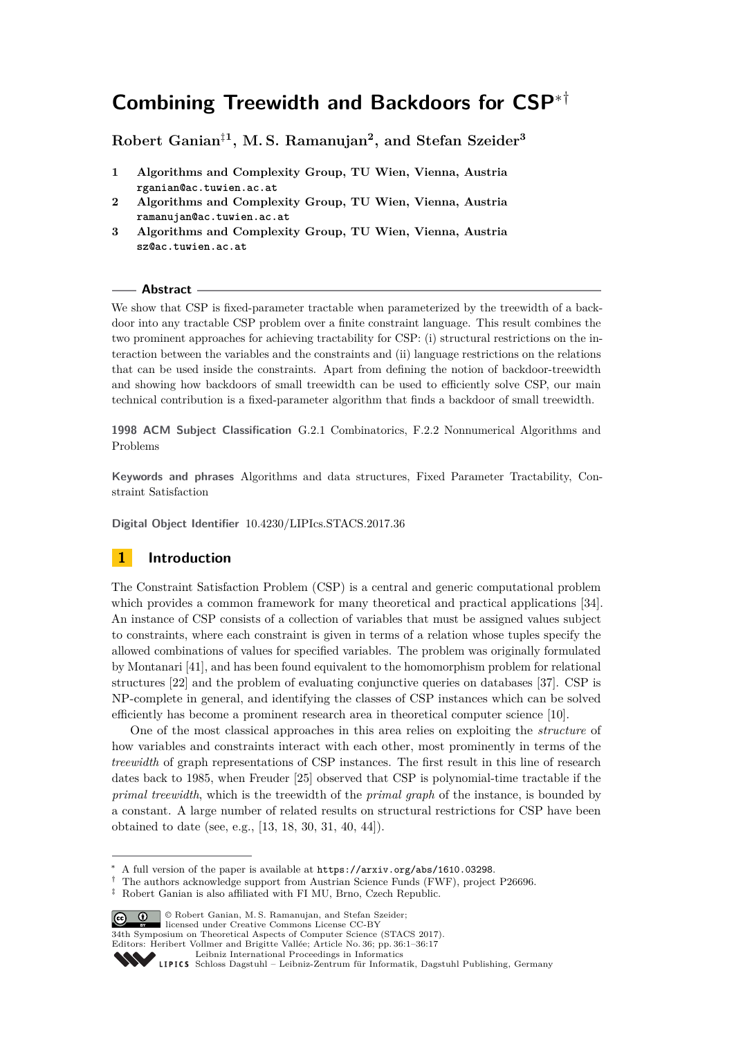# **Combining Treewidth and Backdoors for CSP**∗†

# **Robert Ganian**‡**<sup>1</sup> , M. S. Ramanujan<sup>2</sup> , and Stefan Szeider<sup>3</sup>**

- **1 Algorithms and Complexity Group, TU Wien, Vienna, Austria rganian@ac.tuwien.ac.at**
- **2 Algorithms and Complexity Group, TU Wien, Vienna, Austria ramanujan@ac.tuwien.ac.at**
- **3 Algorithms and Complexity Group, TU Wien, Vienna, Austria sz@ac.tuwien.ac.at**

### **Abstract**

We show that CSP is fixed-parameter tractable when parameterized by the treewidth of a backdoor into any tractable CSP problem over a finite constraint language. This result combines the two prominent approaches for achieving tractability for CSP: (i) structural restrictions on the interaction between the variables and the constraints and (ii) language restrictions on the relations that can be used inside the constraints. Apart from defining the notion of backdoor-treewidth and showing how backdoors of small treewidth can be used to efficiently solve CSP, our main technical contribution is a fixed-parameter algorithm that finds a backdoor of small treewidth.

**1998 ACM Subject Classification** G.2.1 Combinatorics, F.2.2 Nonnumerical Algorithms and Problems

**Keywords and phrases** Algorithms and data structures, Fixed Parameter Tractability, Constraint Satisfaction

**Digital Object Identifier** [10.4230/LIPIcs.STACS.2017.36](http://dx.doi.org/10.4230/LIPIcs.STACS.2017.36)

# **1 Introduction**

The Constraint Satisfaction Problem (CSP) is a central and generic computational problem which provides a common framework for many theoretical and practical applications [\[34\]](#page-15-0). An instance of CSP consists of a collection of variables that must be assigned values subject to constraints, where each constraint is given in terms of a relation whose tuples specify the allowed combinations of values for specified variables. The problem was originally formulated by Montanari [\[41\]](#page-15-1), and has been found equivalent to the homomorphism problem for relational structures [\[22\]](#page-14-0) and the problem of evaluating conjunctive queries on databases [\[37\]](#page-15-2). CSP is NP-complete in general, and identifying the classes of CSP instances which can be solved efficiently has become a prominent research area in theoretical computer science [\[10\]](#page-13-0).

One of the most classical approaches in this area relies on exploiting the *structure* of how variables and constraints interact with each other, most prominently in terms of the *treewidth* of graph representations of CSP instances. The first result in this line of research dates back to 1985, when Freuder [\[25\]](#page-14-1) observed that CSP is polynomial-time tractable if the *primal treewidth*, which is the treewidth of the *primal graph* of the instance, is bounded by a constant. A large number of related results on structural restrictions for CSP have been obtained to date (see, e.g., [\[13,](#page-14-2) [18,](#page-14-3) [30,](#page-15-3) [31,](#page-15-4) [40,](#page-15-5) [44\]](#page-15-6)).

† The authors acknowledge support from Austrian Science Funds (FWF), project P26696.

<sup>‡</sup> Robert Ganian is also affiliated with FI MU, Brno, Czech Republic.



licensed under Creative Commons License CC-BY

34th Symposium on Theoretical Aspects of Computer Science (STACS 2017).

Editors: Heribert Vollmer and Brigitte Vallée; Article No. 36; pp. 36:1–36[:17](#page-16-0)

<sup>∗</sup> A full version of the paper is available at <https://arxiv.org/abs/1610.03298>.

[Leibniz International Proceedings in Informatics](http://www.dagstuhl.de/lipics/)

Leibniz international ruse einigs in missimosischen Publishing, Germany<br>LIPICS [Schloss Dagstuhl – Leibniz-Zentrum für Informatik, Dagstuhl Publishing, Germany](http://www.dagstuhl.de)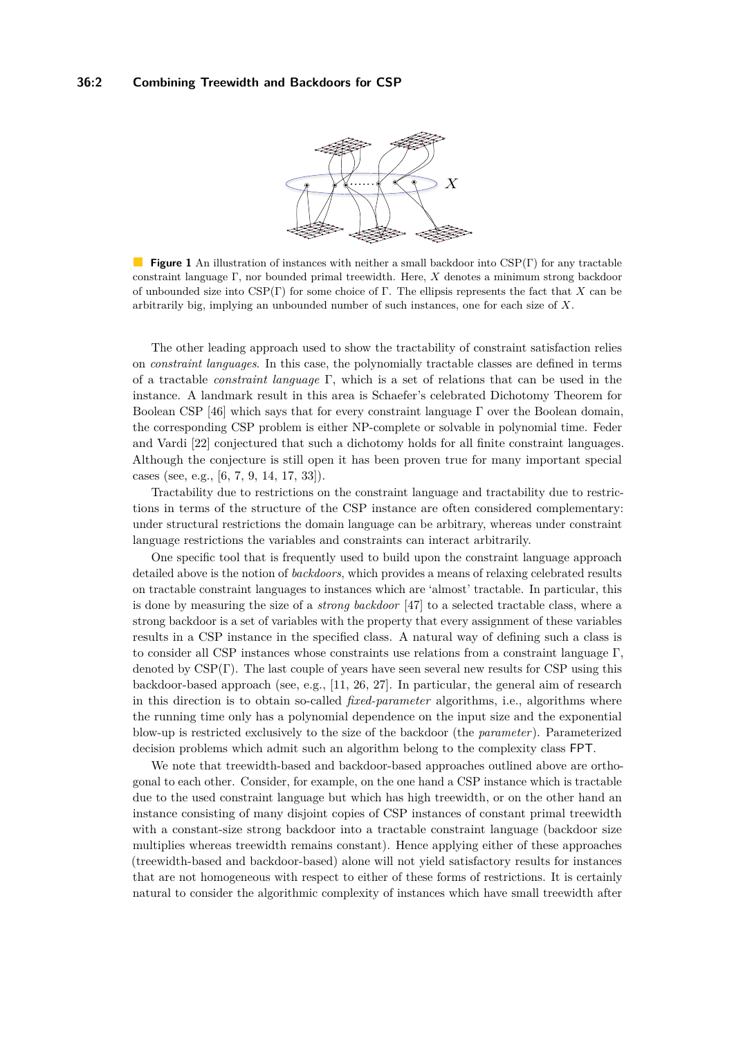<span id="page-1-0"></span>

**Figure 1** An illustration of instances with neither a small backdoor into CSP(Γ) for any tractable  $\mathcal{L}_{\mathcal{A}}$ constraint language Γ, nor bounded primal treewidth. Here, *X* denotes a minimum strong backdoor of unbounded size into CSP(Γ) for some choice of Γ. The ellipsis represents the fact that *X* can be arbitrarily big, implying an unbounded number of such instances, one for each size of *X*.

The other leading approach used to show the tractability of constraint satisfaction relies on *constraint languages*. In this case, the polynomially tractable classes are defined in terms of a tractable *constraint language* Γ, which is a set of relations that can be used in the instance. A landmark result in this area is Schaefer's celebrated Dichotomy Theorem for Boolean CSP [\[46\]](#page-15-7) which says that for every constraint language  $\Gamma$  over the Boolean domain, the corresponding CSP problem is either NP-complete or solvable in polynomial time. Feder and Vardi [\[22\]](#page-14-0) conjectured that such a dichotomy holds for all finite constraint languages. Although the conjecture is still open it has been proven true for many important special cases (see, e.g., [\[6,](#page-13-1) [7,](#page-13-2) [9,](#page-13-3) [14,](#page-14-4) [17,](#page-14-5) [33\]](#page-15-8)).

Tractability due to restrictions on the constraint language and tractability due to restrictions in terms of the structure of the CSP instance are often considered complementary: under structural restrictions the domain language can be arbitrary, whereas under constraint language restrictions the variables and constraints can interact arbitrarily.

One specific tool that is frequently used to build upon the constraint language approach detailed above is the notion of *backdoors*, which provides a means of relaxing celebrated results on tractable constraint languages to instances which are 'almost' tractable. In particular, this is done by measuring the size of a *strong backdoor* [\[47\]](#page-16-1) to a selected tractable class, where a strong backdoor is a set of variables with the property that every assignment of these variables results in a CSP instance in the specified class. A natural way of defining such a class is to consider all CSP instances whose constraints use relations from a constraint language Γ, denoted by  $CSP(\Gamma)$ . The last couple of years have seen several new results for CSP using this backdoor-based approach (see, e.g., [\[11,](#page-13-4) [26,](#page-14-6) [27\]](#page-14-7). In particular, the general aim of research in this direction is to obtain so-called *fixed-parameter* algorithms, i.e., algorithms where the running time only has a polynomial dependence on the input size and the exponential blow-up is restricted exclusively to the size of the backdoor (the *parameter*). Parameterized decision problems which admit such an algorithm belong to the complexity class FPT.

We note that treewidth-based and backdoor-based approaches outlined above are orthogonal to each other. Consider, for example, on the one hand a CSP instance which is tractable due to the used constraint language but which has high treewidth, or on the other hand an instance consisting of many disjoint copies of CSP instances of constant primal treewidth with a constant-size strong backdoor into a tractable constraint language (backdoor size multiplies whereas treewidth remains constant). Hence applying either of these approaches (treewidth-based and backdoor-based) alone will not yield satisfactory results for instances that are not homogeneous with respect to either of these forms of restrictions. It is certainly natural to consider the algorithmic complexity of instances which have small treewidth after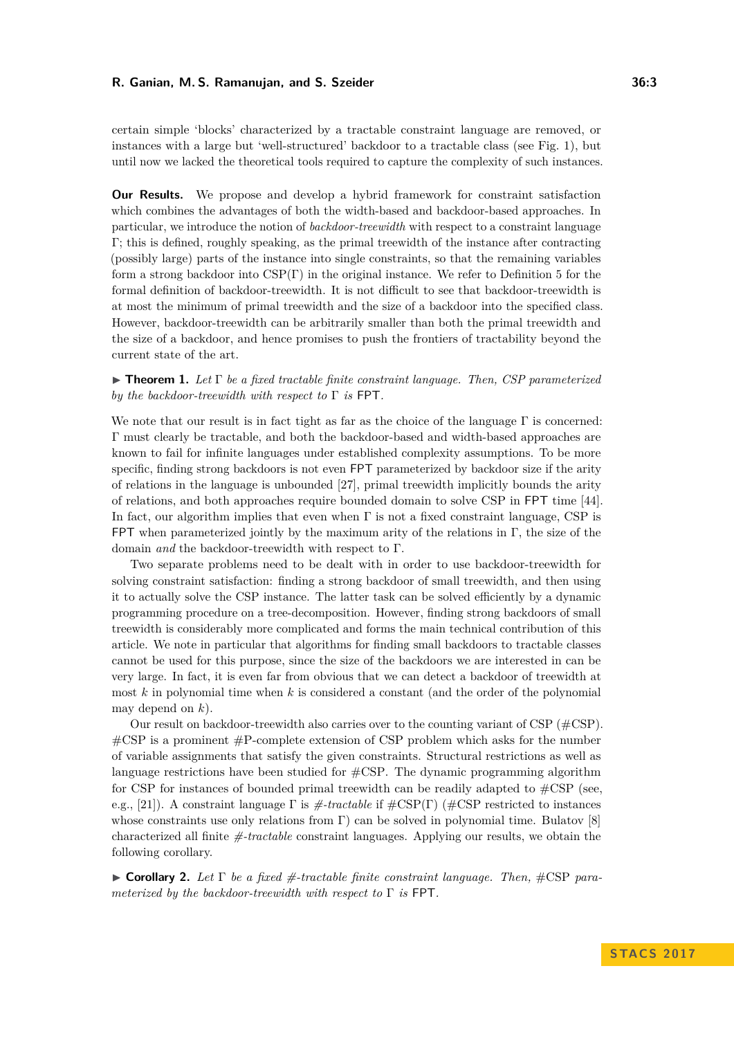certain simple 'blocks' characterized by a tractable constraint language are removed, or instances with a large but 'well-structured' backdoor to a tractable class (see Fig. [1\)](#page-1-0), but until now we lacked the theoretical tools required to capture the complexity of such instances.

**Our Results.** We propose and develop a hybrid framework for constraint satisfaction which combines the advantages of both the width-based and backdoor-based approaches. In particular, we introduce the notion of *backdoor-treewidth* with respect to a constraint language Γ; this is defined, roughly speaking, as the primal treewidth of the instance after contracting (possibly large) parts of the instance into single constraints, so that the remaining variables form a strong backdoor into CSP(Γ) in the original instance. We refer to Definition [5](#page-6-0) for the formal definition of backdoor-treewidth. It is not difficult to see that backdoor-treewidth is at most the minimum of primal treewidth and the size of a backdoor into the specified class. However, backdoor-treewidth can be arbitrarily smaller than both the primal treewidth and the size of a backdoor, and hence promises to push the frontiers of tractability beyond the current state of the art.

<span id="page-2-0"></span> $\triangleright$  **Theorem 1.** Let  $\Gamma$  be a fixed tractable finite constraint language. Then, CSP parameterized *by the backdoor-treewidth with respect to* Γ *is* FPT*.*

We note that our result is in fact tight as far as the choice of the language  $\Gamma$  is concerned: Γ must clearly be tractable, and both the backdoor-based and width-based approaches are known to fail for infinite languages under established complexity assumptions. To be more specific, finding strong backdoors is not even FPT parameterized by backdoor size if the arity of relations in the language is unbounded [\[27\]](#page-14-7), primal treewidth implicitly bounds the arity of relations, and both approaches require bounded domain to solve CSP in FPT time [\[44\]](#page-15-6). In fact, our algorithm implies that even when  $\Gamma$  is not a fixed constraint language, CSP is FPT when parameterized jointly by the maximum arity of the relations in  $\Gamma$ , the size of the domain *and* the backdoor-treewidth with respect to Γ.

Two separate problems need to be dealt with in order to use backdoor-treewidth for solving constraint satisfaction: finding a strong backdoor of small treewidth, and then using it to actually solve the CSP instance. The latter task can be solved efficiently by a dynamic programming procedure on a tree-decomposition. However, finding strong backdoors of small treewidth is considerably more complicated and forms the main technical contribution of this article. We note in particular that algorithms for finding small backdoors to tractable classes cannot be used for this purpose, since the size of the backdoors we are interested in can be very large. In fact, it is even far from obvious that we can detect a backdoor of treewidth at most *k* in polynomial time when *k* is considered a constant (and the order of the polynomial may depend on *k*).

Our result on backdoor-treewidth also carries over to the counting variant of CSP (#CSP).  $\#\text{CSP}$  is a prominent  $\#\text{P-complete extension of CSP problem which asks for the number }$ of variable assignments that satisfy the given constraints. Structural restrictions as well as language restrictions have been studied for #CSP. The dynamic programming algorithm for CSP for instances of bounded primal treewidth can be readily adapted to  $\#\text{CSP}$  (see, e.g., [\[21\]](#page-14-8)). A constraint language Γ is *#-tractable* if #CSP(Γ) (#CSP restricted to instances whose constraints use only relations from  $\Gamma$ ) can be solved in polynomial time. Bulatov [\[8\]](#page-13-5) characterized all finite *#-tractable* constraint languages. Applying our results, we obtain the following corollary.

<span id="page-2-1"></span>I **Corollary 2.** *Let* Γ *be a fixed #-tractable finite constraint language. Then,* #CSP *parameterized by the backdoor-treewidth with respect to* Γ *is* FPT*.*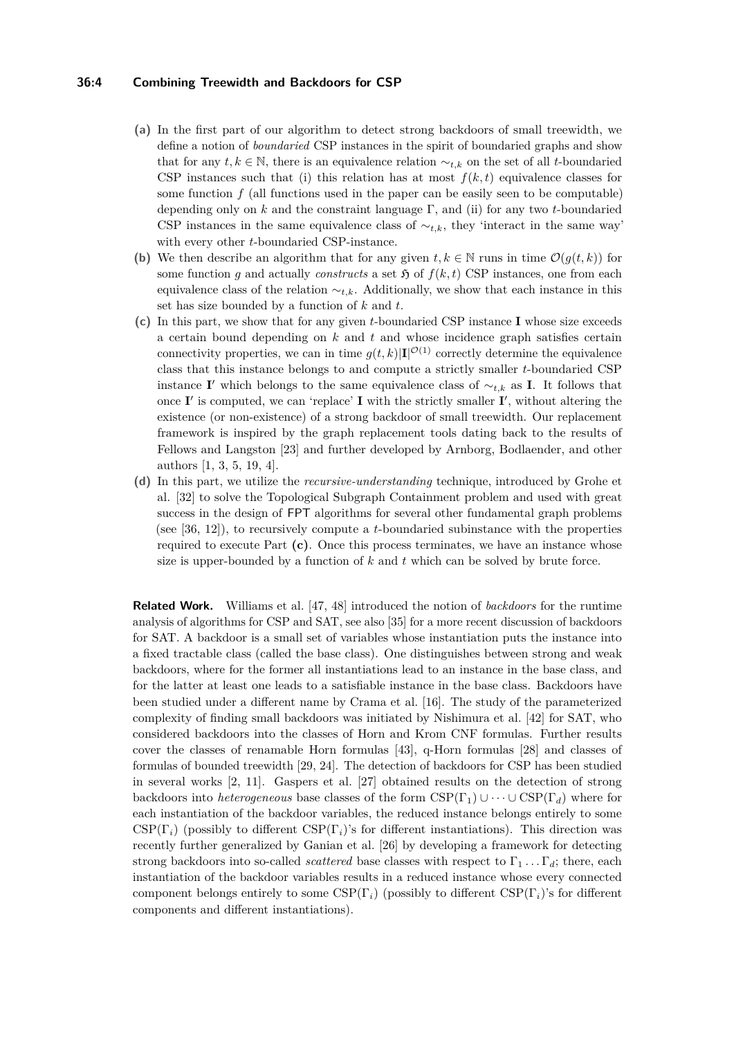### **36:4 Combining Treewidth and Backdoors for CSP**

- **(a)** In the first part of our algorithm to detect strong backdoors of small treewidth, we define a notion of *boundaried* CSP instances in the spirit of boundaried graphs and show that for any  $t, k \in \mathbb{N}$ , there is an equivalence relation  $∼_{t,k}$  on the set of all *t*-boundaried CSP instances such that (i) this relation has at most  $f(k, t)$  equivalence classes for some function  $f$  (all functions used in the paper can be easily seen to be computable) depending only on *k* and the constraint language Γ, and (ii) for any two *t*-boundaried CSP instances in the same equivalence class of  $\sim_{t,k}$ , they 'interact in the same way' with every other *t*-boundaried CSP-instance.
- **(b)** We then describe an algorithm that for any given  $t, k \in \mathbb{N}$  runs in time  $\mathcal{O}(g(t, k))$  for some function *g* and actually *constructs* a set  $\mathfrak{H}$  of  $f(k, t)$  CSP instances, one from each equivalence class of the relation  $\sim_{t,k}$ . Additionally, we show that each instance in this set has size bounded by a function of *k* and *t*.
- **(c)** In this part, we show that for any given *t*-boundaried CSP instance **I** whose size exceeds a certain bound depending on *k* and *t* and whose incidence graph satisfies certain connectivity properties, we can in time  $g(t, k)$  |**I**|<sup> $\mathcal{O}(1)$  correctly determine the equivalence</sup> class that this instance belongs to and compute a strictly smaller *t*-boundaried CSP instance **I**' which belongs to the same equivalence class of  $\sim_{t,k}$  as **I**. It follows that once  $I'$  is computed, we can 'replace'  $I$  with the strictly smaller  $I'$ , without altering the existence (or non-existence) of a strong backdoor of small treewidth. Our replacement framework is inspired by the graph replacement tools dating back to the results of Fellows and Langston [\[23\]](#page-14-9) and further developed by Arnborg, Bodlaender, and other authors [\[1,](#page-13-6) [3,](#page-13-7) [5,](#page-13-8) [19,](#page-14-10) [4\]](#page-13-9).
- **(d)** In this part, we utilize the *recursive-understanding* technique, introduced by Grohe et al. [\[32\]](#page-15-9) to solve the Topological Subgraph Containment problem and used with great success in the design of FPT algorithms for several other fundamental graph problems (see [\[36,](#page-15-10) [12\]](#page-13-10)), to recursively compute a *t*-boundaried subinstance with the properties required to execute Part **(c)**. Once this process terminates, we have an instance whose size is upper-bounded by a function of *k* and *t* which can be solved by brute force.

**Related Work.** Williams et al. [\[47,](#page-16-1) [48\]](#page-16-2) introduced the notion of *backdoors* for the runtime analysis of algorithms for CSP and SAT, see also [\[35\]](#page-15-11) for a more recent discussion of backdoors for SAT. A backdoor is a small set of variables whose instantiation puts the instance into a fixed tractable class (called the base class). One distinguishes between strong and weak backdoors, where for the former all instantiations lead to an instance in the base class, and for the latter at least one leads to a satisfiable instance in the base class. Backdoors have been studied under a different name by Crama et al. [\[16\]](#page-14-11). The study of the parameterized complexity of finding small backdoors was initiated by Nishimura et al. [\[42\]](#page-15-12) for SAT, who considered backdoors into the classes of Horn and Krom CNF formulas. Further results cover the classes of renamable Horn formulas [\[43\]](#page-15-13), q-Horn formulas [\[28\]](#page-15-14) and classes of formulas of bounded treewidth [\[29,](#page-15-15) [24\]](#page-14-12). The detection of backdoors for CSP has been studied in several works [\[2,](#page-13-11) [11\]](#page-13-4). Gaspers et al. [\[27\]](#page-14-7) obtained results on the detection of strong backdoors into *heterogeneous* base classes of the form  $CSP(\Gamma_1) \cup \cdots \cup CSP(\Gamma_d)$  where for each instantiation of the backdoor variables, the reduced instance belongs entirely to some CSP( $\Gamma_i$ ) (possibly to different CSP( $\Gamma_i$ )'s for different instantiations). This direction was recently further generalized by Ganian et al. [\[26\]](#page-14-6) by developing a framework for detecting strong backdoors into so-called *scattered* base classes with respect to  $\Gamma_1 \dots \Gamma_d$ ; there, each instantiation of the backdoor variables results in a reduced instance whose every connected component belongs entirely to some CSP(Γ*i*) (possibly to different CSP(Γ*i*)'s for different components and different instantiations).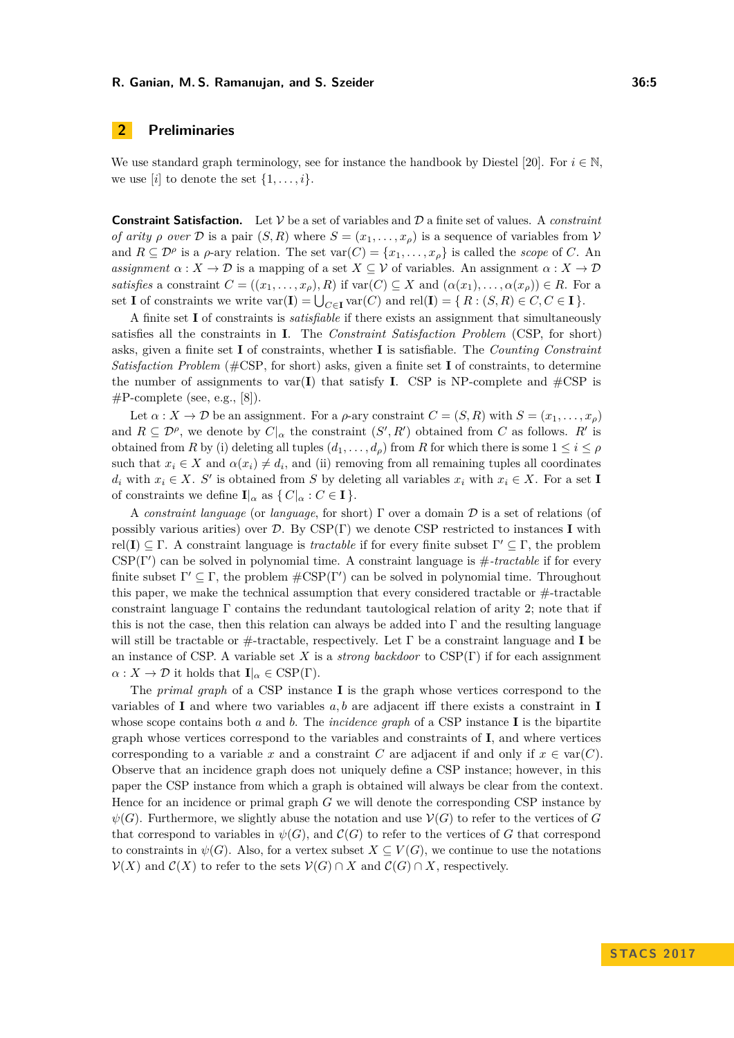### **2 Preliminaries**

We use standard graph terminology, see for instance the handbook by Diestel [\[20\]](#page-14-13). For  $i \in \mathbb{N}$ , we use  $[i]$  to denote the set  $\{1, \ldots, i\}$ .

**Constraint Satisfaction.** Let V be a set of variables and D a finite set of values. A *constraint of arity*  $\rho$  *over*  $\mathcal{D}$  is a pair  $(S, R)$  where  $S = (x_1, \ldots, x_\rho)$  is a sequence of variables from  $\mathcal{V}$ and  $R \subseteq \mathcal{D}^{\rho}$  is a  $\rho$ -ary relation. The set  $var(C) = \{x_1, \ldots, x_{\rho}\}\$ is called the *scope* of *C*. An *assignment*  $\alpha: X \to \mathcal{D}$  is a mapping of a set  $X \subseteq \mathcal{V}$  of variables. An assignment  $\alpha: X \to \mathcal{D}$ *satisfies* a constraint  $C = ((x_1, \ldots, x_\rho), R)$  if  $var(C) \subseteq X$  and  $(\alpha(x_1), \ldots, \alpha(x_\rho)) \in R$ . For a set **I** of constraints we write  $var(\mathbf{I}) = \bigcup_{C \in \mathbf{I}} var(C)$  and  $rel(\mathbf{I}) = \{ R : (S, R) \in C, C \in \mathbf{I} \}.$ 

A finite set **I** of constraints is *satisfiable* if there exists an assignment that simultaneously satisfies all the constraints in **I**. The *Constraint Satisfaction Problem* (CSP, for short) asks, given a finite set **I** of constraints, whether **I** is satisfiable. The *Counting Constraint Satisfaction Problem* (#CSP, for short) asks, given a finite set **I** of constraints, to determine the number of assignments to var(**I**) that satisfy **I**. CSP is NP-complete and  $\#CSP$  is  $\#P$ -complete (see, e.g., [\[8\]](#page-13-5)).

Let  $\alpha: X \to \mathcal{D}$  be an assignment. For a  $\rho$ -ary constraint  $C = (S, R)$  with  $S = (x_1, \ldots, x_\rho)$ and  $R \subseteq \mathcal{D}^{\rho}$ , we denote by  $C|_{\alpha}$  the constraint  $(S', R')$  obtained from  $C$  as follows.  $R'$  is obtained from *R* by (i) deleting all tuples  $(d_1, \ldots, d_\rho)$  from *R* for which there is some  $1 \leq i \leq \rho$ such that  $x_i \in X$  and  $\alpha(x_i) \neq d_i$ , and (ii) removing from all remaining tuples all coordinates  $d_i$  with  $x_i \in X$ . *S*<sup>*i*</sup> is obtained from *S* by deleting all variables  $x_i$  with  $x_i \in X$ . For a set **I** of constraints we define  $\mathbf{I}|_{\alpha}$  as  $\{ C|_{\alpha} : C \in \mathbf{I} \}.$ 

A *constraint language* (or *language*, for short) Γ over a domain D is a set of relations (of possibly various arities) over D. By CSP(Γ) we denote CSP restricted to instances **I** with rel(I)  $\subseteq \Gamma$ . A constraint language is *tractable* if for every finite subset  $\Gamma' \subseteq \Gamma$ , the problem  $CSP(\Gamma')$  can be solved in polynomial time. A constraint language is  $\#$ -tractable if for every finite subset  $\Gamma' \subseteq \Gamma$ , the problem  $\#\text{CSP}(\Gamma')$  can be solved in polynomial time. Throughout this paper, we make the technical assumption that every considered tractable or  $#$ -tractable constraint language  $\Gamma$  contains the redundant tautological relation of arity 2; note that if this is not the case, then this relation can always be added into  $\Gamma$  and the resulting language will still be tractable or #-tractable, respectively. Let Γ be a constraint language and **I** be an instance of CSP. A variable set *X* is a *strong backdoor* to CSP(Γ) if for each assignment  $\alpha: X \to \mathcal{D}$  it holds that  $\mathbf{I}|_{\alpha} \in \text{CSP}(\Gamma)$ .

The *primal graph* of a CSP instance **I** is the graph whose vertices correspond to the variables of **I** and where two variables *a, b* are adjacent iff there exists a constraint in **I** whose scope contains both *a* and *b*. The *incidence graph* of a CSP instance **I** is the bipartite graph whose vertices correspond to the variables and constraints of **I**, and where vertices corresponding to a variable *x* and a constraint *C* are adjacent if and only if  $x \in \text{var}(C)$ . Observe that an incidence graph does not uniquely define a CSP instance; however, in this paper the CSP instance from which a graph is obtained will always be clear from the context. Hence for an incidence or primal graph *G* we will denote the corresponding CSP instance by  $\psi(G)$ . Furthermore, we slightly abuse the notation and use  $\mathcal{V}(G)$  to refer to the vertices of *G* that correspond to variables in  $\psi(G)$ , and  $\mathcal{C}(G)$  to refer to the vertices of *G* that correspond to constraints in  $\psi(G)$ . Also, for a vertex subset  $X \subseteq V(G)$ , we continue to use the notations  $V(X)$  and  $C(X)$  to refer to the sets  $V(G) \cap X$  and  $C(G) \cap X$ , respectively.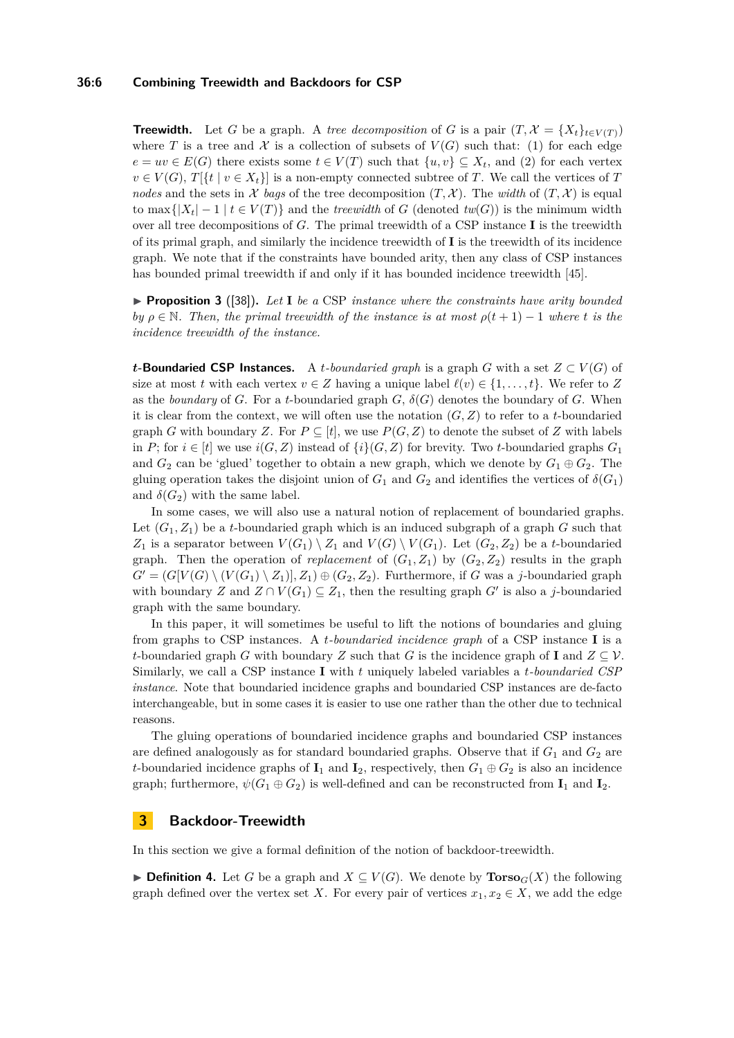### **36:6 Combining Treewidth and Backdoors for CSP**

**Treewidth.** Let *G* be a graph. A *tree decomposition* of *G* is a pair  $(T, \mathcal{X} = \{X_t\}_{t \in V(T)})$ where *T* is a tree and *X* is a collection of subsets of  $V(G)$  such that: (1) for each edge  $e = uv \in E(G)$  there exists some  $t \in V(T)$  such that  $\{u, v\} \subseteq X_t$ , and (2) for each vertex  $v \in V(G)$ ,  $T[\{t \mid v \in X_t\}]$  is a non-empty connected subtree of *T*. We call the vertices of *T nodes* and the sets in  $\mathcal X$  *bags* of the tree decomposition  $(T, \mathcal X)$ . The *width* of  $(T, \mathcal X)$  is equal to max $\{|X_t| - 1 | t \in V(T)\}\$ and the *treewidth* of *G* (denoted  $tw(G)$ ) is the minimum width over all tree decompositions of *G*. The primal treewidth of a CSP instance **I** is the treewidth of its primal graph, and similarly the incidence treewidth of **I** is the treewidth of its incidence graph. We note that if the constraints have bounded arity, then any class of CSP instances has bounded primal treewidth if and only if it has bounded incidence treewidth [\[45\]](#page-15-16).

▶ **Proposition 3** ([\[38\]](#page-15-17)). Let **I** be a CSP instance where the constraints have arity bounded *by*  $\rho \in \mathbb{N}$ . Then, the primal treewidth of the instance is at most  $\rho(t+1) - 1$  where *t* is the *incidence treewidth of the instance.*

*t***-Boundaried CSP Instances.** A *t*-boundaried graph is a graph *G* with a set  $Z \subset V(G)$  of size at most *t* with each vertex  $v \in Z$  having a unique label  $\ell(v) \in \{1, \ldots, t\}$ . We refer to *Z* as the *boundary* of *G*. For a *t*-boundaried graph  $G$ ,  $\delta(G)$  denotes the boundary of *G*. When it is clear from the context, we will often use the notation  $(G, Z)$  to refer to a *t*-boundaried graph *G* with boundary *Z*. For  $P \subseteq [t]$ , we use  $P(G, Z)$  to denote the subset of *Z* with labels in *P*; for  $i \in [t]$  we use  $i(G, Z)$  instead of  $\{i\}(G, Z)$  for brevity. Two *t*-boundaried graphs  $G_1$ and  $G_2$  can be 'glued' together to obtain a new graph, which we denote by  $G_1 \oplus G_2$ . The gluing operation takes the disjoint union of  $G_1$  and  $G_2$  and identifies the vertices of  $\delta(G_1)$ and  $\delta(G_2)$  with the same label.

In some cases, we will also use a natural notion of replacement of boundaried graphs. Let  $(G_1, Z_1)$  be a *t*-boundaried graph which is an induced subgraph of a graph  $G$  such that *Z*<sub>1</sub> is a separator between  $V(G_1) \setminus Z_1$  and  $V(G) \setminus V(G_1)$ . Let  $(G_2, Z_2)$  be a *t*-boundaried graph. Then the operation of *replacement* of  $(G_1, Z_1)$  by  $(G_2, Z_2)$  results in the graph  $G' = (G[V(G) \setminus (V(G_1) \setminus Z_1)], Z_1) \oplus (G_2, Z_2)$ . Furthermore, if *G* was a *j*-boundaried graph with boundary *Z* and  $Z \cap V(G_1) \subseteq Z_1$ , then the resulting graph *G'* is also a *j*-boundaried graph with the same boundary.

In this paper, it will sometimes be useful to lift the notions of boundaries and gluing from graphs to CSP instances. A *t-boundaried incidence graph* of a CSP instance **I** is a *t*-boundaried graph *G* with boundary *Z* such that *G* is the incidence graph of **I** and  $Z \subseteq V$ . Similarly, we call a CSP instance **I** with *t* uniquely labeled variables a *t-boundaried CSP instance*. Note that boundaried incidence graphs and boundaried CSP instances are de-facto interchangeable, but in some cases it is easier to use one rather than the other due to technical reasons.

The gluing operations of boundaried incidence graphs and boundaried CSP instances are defined analogously as for standard boundaried graphs. Observe that if  $G_1$  and  $G_2$  are *t*-boundaried incidence graphs of  $I_1$  and  $I_2$ , respectively, then  $G_1 \oplus G_2$  is also an incidence graph; furthermore,  $\psi(G_1 \oplus G_2)$  is well-defined and can be reconstructed from  $\mathbf{I}_1$  and  $\mathbf{I}_2$ .

### **3 Backdoor-Treewidth**

In this section we give a formal definition of the notion of backdoor-treewidth.

▶ **Definition 4.** Let *G* be a graph and  $X \subseteq V(G)$ . We denote by **Torso**<sub>*G*</sub>(*X*) the following graph defined over the vertex set *X*. For every pair of vertices  $x_1, x_2 \in X$ , we add the edge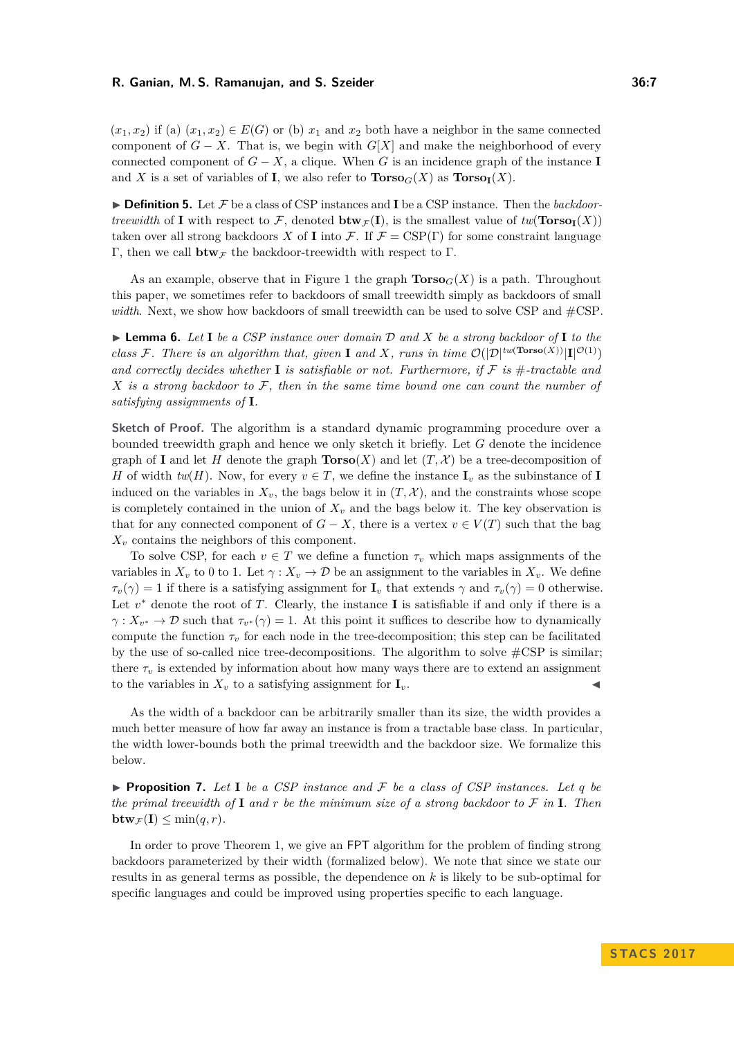$(x_1, x_2)$  if (a)  $(x_1, x_2) \in E(G)$  or (b)  $x_1$  and  $x_2$  both have a neighbor in the same connected component of *G* − *X*. That is, we begin with  $G[X]$  and make the neighborhood of every connected component of  $G - X$ , a clique. When G is an incidence graph of the instance **I** and *X* is a set of variables of **I**, we also refer to  $\text{Torso}_G(X)$  as  $\text{Torso}_I(X)$ .

<span id="page-6-0"></span>▶ **Definition 5.** Let  $\mathcal{F}$  be a class of CSP instances and **I** be a CSP instance. Then the *backdoortreewidth* of **I** with respect to F, denoted  $\mathbf{btw}_{\mathcal{F}}(\mathbf{I})$ , is the smallest value of  $tw(\mathbf{Torso}_{\mathbf{I}}(X))$ taken over all strong backdoors *X* of **I** into *F*. If  $\mathcal{F} = \text{CSP}(\Gamma)$  for some constraint language Γ, then we call  **the backdoor-treewidth with respect to Γ.** 

As an example, observe that in Figure [1](#page-1-0) the graph  $\text{Torso}_G(X)$  is a path. Throughout this paper, we sometimes refer to backdoors of small treewidth simply as backdoors of small *width*. Next, we show how backdoors of small treewidth can be used to solve CSP and #CSP.

<span id="page-6-1"></span>I **Lemma 6.** *Let* **I** *be a CSP instance over domain* D *and X be a strong backdoor of* **I** *to the class* F. There is an algorithm that, given **I** and X, runs in time  $\mathcal{O}(|\mathcal{D}|^{tw(\text{Torso}(X))}|\mathbf{I}|^{\mathcal{O}(1)})$ and correctly decides whether **I** is satisfiable or not. Furthermore, if  $F$  is  $#$ -tractable and *X is a strong backdoor to* F*, then in the same time bound one can count the number of satisfying assignments of* **I***.*

**Sketch of Proof.** The algorithm is a standard dynamic programming procedure over a bounded treewidth graph and hence we only sketch it briefly. Let *G* denote the incidence graph of **I** and let *H* denote the graph  $\text{Torso}(X)$  and let  $(T, \mathcal{X})$  be a tree-decomposition of *H* of width  $tw(H)$ . Now, for every  $v \in T$ , we define the instance  $I_v$  as the subinstance of **I** induced on the variables in  $X_v$ , the bags below it in  $(T, \mathcal{X})$ , and the constraints whose scope is completely contained in the union of  $X<sub>v</sub>$  and the bags below it. The key observation is that for any connected component of  $G - X$ , there is a vertex  $v \in V(T)$  such that the bag *X<sup>v</sup>* contains the neighbors of this component.

To solve CSP, for each  $v \in T$  we define a function  $\tau_v$  which maps assignments of the variables in  $X_v$  to 0 to 1. Let  $\gamma: X_v \to \mathcal{D}$  be an assignment to the variables in  $X_v$ . We define  $\tau_v(\gamma) = 1$  if there is a satisfying assignment for **I**<sub>*v*</sub> that extends  $\gamma$  and  $\tau_v(\gamma) = 0$  otherwise. Let  $v^*$  denote the root of  $T$ . Clearly, the instance **I** is satisfiable if and only if there is a  $\gamma: X_{v^*} \to \mathcal{D}$  such that  $\tau_{v^*}(\gamma) = 1$ . At this point it suffices to describe how to dynamically compute the function  $\tau_v$  for each node in the tree-decomposition; this step can be facilitated by the use of so-called nice tree-decompositions. The algorithm to solve  $\#\text{CSP}$  is similar; there  $\tau_v$  is extended by information about how many ways there are to extend an assignment to the variables in  $X<sub>v</sub>$  to a satisfying assignment for  $\mathbf{I}_{v}$ .

As the width of a backdoor can be arbitrarily smaller than its size, the width provides a much better measure of how far away an instance is from a tractable base class. In particular, the width lower-bounds both the primal treewidth and the backdoor size. We formalize this below.

**Proposition 7.** Let  $I$  be a CSP instance and  $F$  be a class of CSP instances. Let q be *the primal treewidth of* **I** *and r be the minimum size of a strong backdoor to* F *in* **I***. Then*  $\mathbf{btw}_{\mathcal{F}}(\mathbf{I}) \leq \min(q, r)$ .

In order to prove Theorem [1,](#page-2-0) we give an FPT algorithm for the problem of finding strong backdoors parameterized by their width (formalized below). We note that since we state our results in as general terms as possible, the dependence on *k* is likely to be sub-optimal for specific languages and could be improved using properties specific to each language.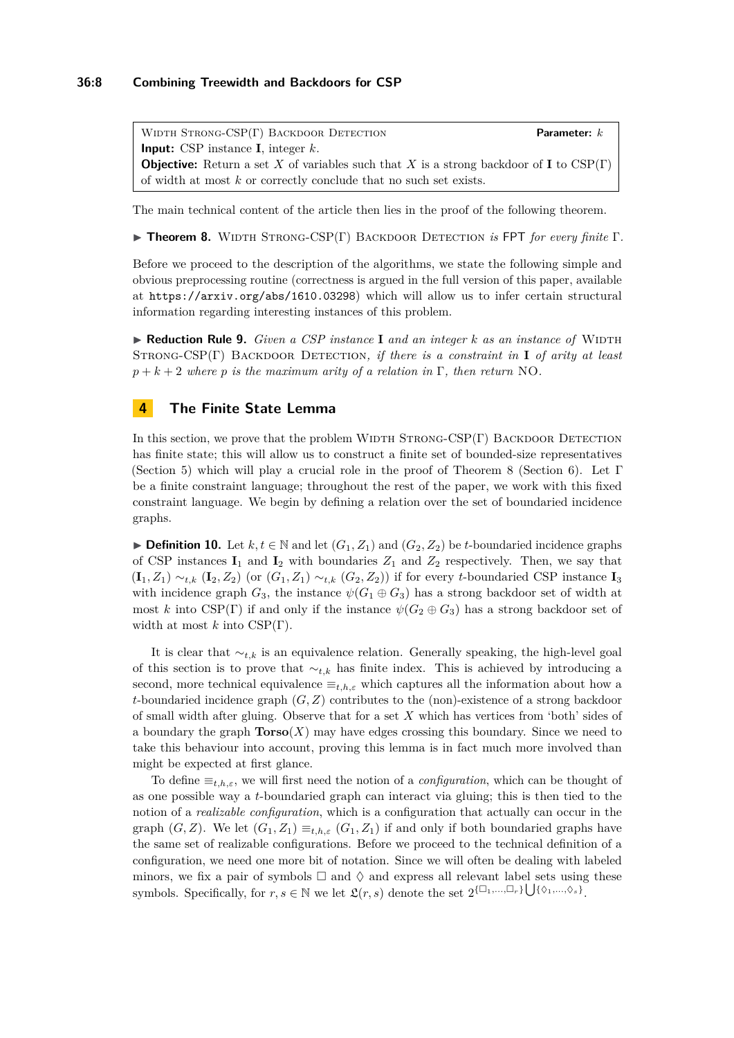### **36:8 Combining Treewidth and Backdoors for CSP**

WIDTH STRONG-CSP(Γ) BACKDOOR DETECTION **Parameter:** *k* **Input:** CSP instance **I**, integer *k*. **Objective:** Return a set *X* of variables such that *X* is a strong backdoor of **I** to CSP(Γ) of width at most *k* or correctly conclude that no such set exists.

The main technical content of the article then lies in the proof of the following theorem.

<span id="page-7-0"></span>**FREOREM 1.** WIDTH STRONG-CSP(Γ) BACKDOOR DETECTION *is* FPT *for every finite* Γ.

Before we proceed to the description of the algorithms, we state the following simple and obvious preprocessing routine (correctness is argued in the full version of this paper, available at <https://arxiv.org/abs/1610.03298>) which will allow us to infer certain structural information regarding interesting instances of this problem.

 $\blacktriangleright$  **Reduction Rule 9.** *Given a CSP instance* **I** *and an integer k as an instance of* WIDTH Strong-CSP(Γ) Backdoor Detection*, if there is a constraint in* **I** *of arity at least*  $p + k + 2$  *where p is the maximum arity of a relation in* Γ, *then return* NO.

## **4 The Finite State Lemma**

In this section, we prove that the problem WIDTH  $STRONG-CSP(\Gamma)$  BACKDOOR DETECTION has finite state; this will allow us to construct a finite set of bounded-size representatives (Section [5\)](#page-9-0) which will play a crucial role in the proof of Theorem [8](#page-7-0) (Section [6\)](#page-10-0). Let  $\Gamma$ be a finite constraint language; throughout the rest of the paper, we work with this fixed constraint language. We begin by defining a relation over the set of boundaried incidence graphs.

▶ **Definition 10.** Let  $k, t \in \mathbb{N}$  and let  $(G_1, Z_1)$  and  $(G_2, Z_2)$  be *t*-boundaried incidence graphs of CSP instances  $I_1$  and  $I_2$  with boundaries  $Z_1$  and  $Z_2$  respectively. Then, we say that (**I**1*, Z*1) ∼*t,k* (**I**2*, Z*2) (or (*G*1*, Z*1) ∼*t,k* (*G*2*, Z*2)) if for every *t*-boundaried CSP instance **I**<sup>3</sup> with incidence graph  $G_3$ , the instance  $\psi(G_1 \oplus G_3)$  has a strong backdoor set of width at most *k* into CSP(Γ) if and only if the instance  $\psi(G_2 \oplus G_3)$  has a strong backdoor set of width at most *k* into CSP(Γ).

It is clear that  $\sim_{t,k}$  is an equivalence relation. Generally speaking, the high-level goal of this section is to prove that ∼*t,k* has finite index. This is achieved by introducing a second, more technical equivalence  $\equiv_{t,h,\varepsilon}$  which captures all the information about how a *t*-boundaried incidence graph (*G, Z*) contributes to the (non)-existence of a strong backdoor of small width after gluing. Observe that for a set *X* which has vertices from 'both' sides of a boundary the graph  $\textbf{Torso}(X)$  may have edges crossing this boundary. Since we need to take this behaviour into account, proving this lemma is in fact much more involved than might be expected at first glance.

To define ≡*t,h,ε*, we will first need the notion of a *configuration*, which can be thought of as one possible way a *t*-boundaried graph can interact via gluing; this is then tied to the notion of a *realizable configuration*, which is a configuration that actually can occur in the graph  $(G, Z)$ . We let  $(G_1, Z_1) \equiv_{t,h,\varepsilon} (G_1, Z_1)$  if and only if both boundaried graphs have the same set of realizable configurations. Before we proceed to the technical definition of a configuration, we need one more bit of notation. Since we will often be dealing with labeled minors, we fix a pair of symbols  $\Box$  and  $\Diamond$  and express all relevant label sets using these symbols. Specifically, for  $r, s \in \mathbb{N}$  we let  $\mathfrak{L}(r, s)$  denote the set  $2^{\{\Box_1, ..., \Box_r\}} \bigcup {\{\Diamond_1, ..., \Diamond_s\}}$ .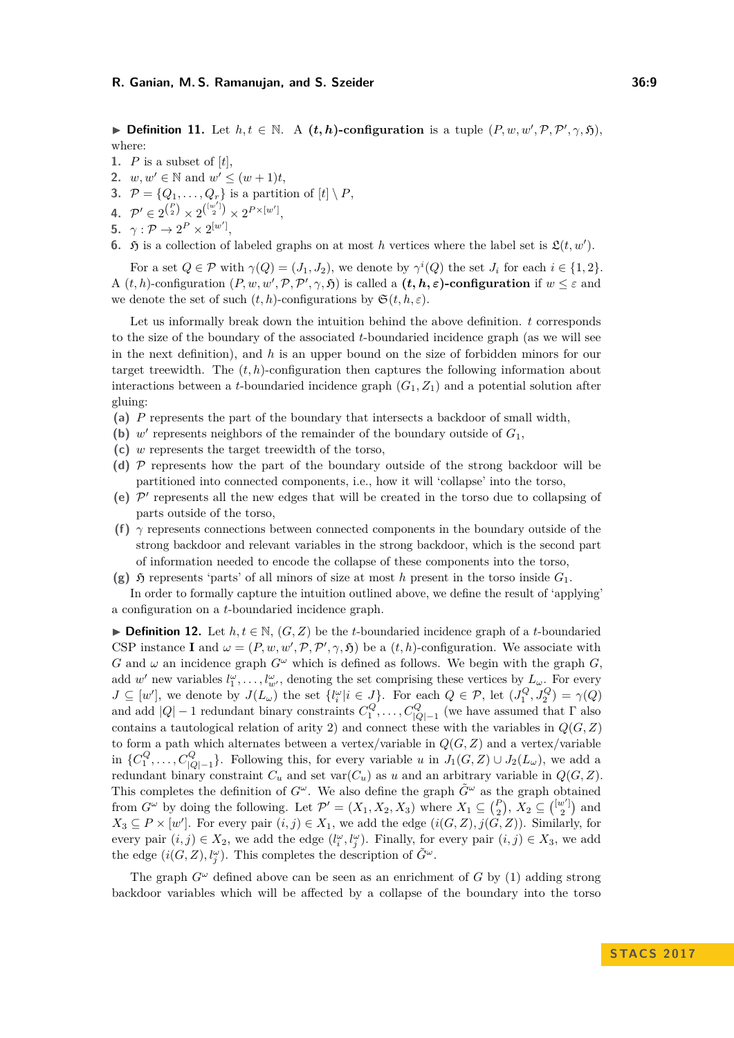**Definition 11.** Let  $h, t \in \mathbb{N}$ . A  $(t, h)$ -configuration is a tuple  $(P, w, w', P, P', \gamma, \mathfrak{H})$ , where:

- **1.** *P* is a subset of [*t*],
- **2.**  $w, w' \in \mathbb{N}$  and  $w' \leq (w+1)t$ ,
- **3.**  $P = \{Q_1, \ldots, Q_r\}$  is a partition of  $[t] \setminus P$ ,
- **4.**  $\mathcal{P}' \in 2^{\binom{P}{2}} \times 2^{\binom{[w']}{2}} \times 2^{P \times [w']},$
- **5.**  $\gamma: \mathcal{P} \to 2^P \times 2^{[w']},$
- **6.**  $\mathfrak{H}$  is a collection of labeled graphs on at most *h* vertices where the label set is  $\mathfrak{L}(t, w')$ .

For a set  $Q \in \mathcal{P}$  with  $\gamma(Q) = (J_1, J_2)$ , we denote by  $\gamma^i(Q)$  the set  $J_i$  for each  $i \in \{1, 2\}$ . A  $(t, h)$ -configuration  $(P, w, w', P, P', \gamma, \mathfrak{H})$  is called a  $(t, h, \varepsilon)$ -configuration if  $w \leq \varepsilon$  and we denote the set of such  $(t, h)$ -configurations by  $\mathfrak{S}(t, h, \varepsilon)$ .

Let us informally break down the intuition behind the above definition. *t* corresponds to the size of the boundary of the associated *t*-boundaried incidence graph (as we will see in the next definition), and *h* is an upper bound on the size of forbidden minors for our target treewidth. The  $(t, h)$ -configuration then captures the following information about interactions between a *t*-boundaried incidence graph  $(G_1, Z_1)$  and a potential solution after gluing:

- **(a)** *P* represents the part of the boundary that intersects a backdoor of small width,
- (b)  $w'$  represents neighbors of the remainder of the boundary outside of  $G_1$ ,
- **(c)** *w* represents the target treewidth of the torso,
- **(d)** P represents how the part of the boundary outside of the strong backdoor will be partitioned into connected components, i.e., how it will 'collapse' into the torso,
- (e)  $\mathcal{P}'$  represents all the new edges that will be created in the torso due to collapsing of parts outside of the torso,
- **(f)**  $\gamma$  represents connections between connected components in the boundary outside of the strong backdoor and relevant variables in the strong backdoor, which is the second part of information needed to encode the collapse of these components into the torso,
- **(g)**  $\mathfrak{H}$  represents 'parts' of all minors of size at most *h* present in the torso inside  $G_1$ .

In order to formally capture the intuition outlined above, we define the result of 'applying' a configuration on a *t*-boundaried incidence graph.

**► Definition 12.** Let  $h, t \in \mathbb{N}$ ,  $(G, Z)$  be the *t*-boundaried incidence graph of a *t*-boundaried CSP instance **I** and  $\omega = (P, w, w', P, P', \gamma, \mathfrak{H})$  be a  $(t, h)$ -configuration. We associate with *G* and  $\omega$  an incidence graph  $G^{\omega}$  which is defined as follows. We begin with the graph *G*, add *w*<sup>'</sup> new variables  $l_1^{\omega}, \ldots, l_{w'}^{\omega}$ , denoting the set comprising these vertices by  $L_{\omega}$ . For every  $J \subseteq [w']$ , we denote by  $J(L_{\omega})$  the set  $\{l_i^{\omega} | i \in J\}$ . For each  $Q \in \mathcal{P}$ , let  $(J_1^Q, J_2^Q) = \gamma(Q)$ and add  $|Q| - 1$  redundant binary constraints  $C_1^Q, \ldots, C_{|Q|-1}^Q$  (we have assumed that  $\Gamma$  also contains a tautological relation of arity 2) and connect these with the variables in *Q*(*G, Z*) to form a path which alternates between a vertex/variable in  $Q(G, Z)$  and a vertex/variable in  $\{C_1^Q, \ldots, C_{|Q|-1}^Q\}$ . Following this, for every variable *u* in  $J_1(G, Z) \cup J_2(L_\omega)$ , we add a redundant binary constraint  $C_u$  and set  $\text{var}(C_u)$  as  $u$  and an arbitrary variable in  $Q(G, Z)$ . This completes the definition of  $G^{\omega}$ . We also define the graph  $\tilde{G}^{\omega}$  as the graph obtained from  $G^{\omega}$  by doing the following. Let  $\mathcal{P}' = (X_1, X_2, X_3)$  where  $X_1 \subseteq {P \choose 2}$ ,  $X_2 \subseteq [{w \choose 2}]$  and  $X_3 \subseteq P \times [w']$ . For every pair  $(i, j) \in X_1$ , we add the edge  $(i(G, Z), j(G, Z))$ . Similarly, for every pair  $(i, j) \in X_2$ , we add the edge  $(l_i^{\omega}, l_j^{\omega})$ . Finally, for every pair  $(i, j) \in X_3$ , we add the edge  $(i(G, Z), l_j^{\omega})$ . This completes the description of  $\tilde{G}^{\omega}$ .

The graph  $G^{\omega}$  defined above can be seen as an enrichment of *G* by (1) adding strong backdoor variables which will be affected by a collapse of the boundary into the torso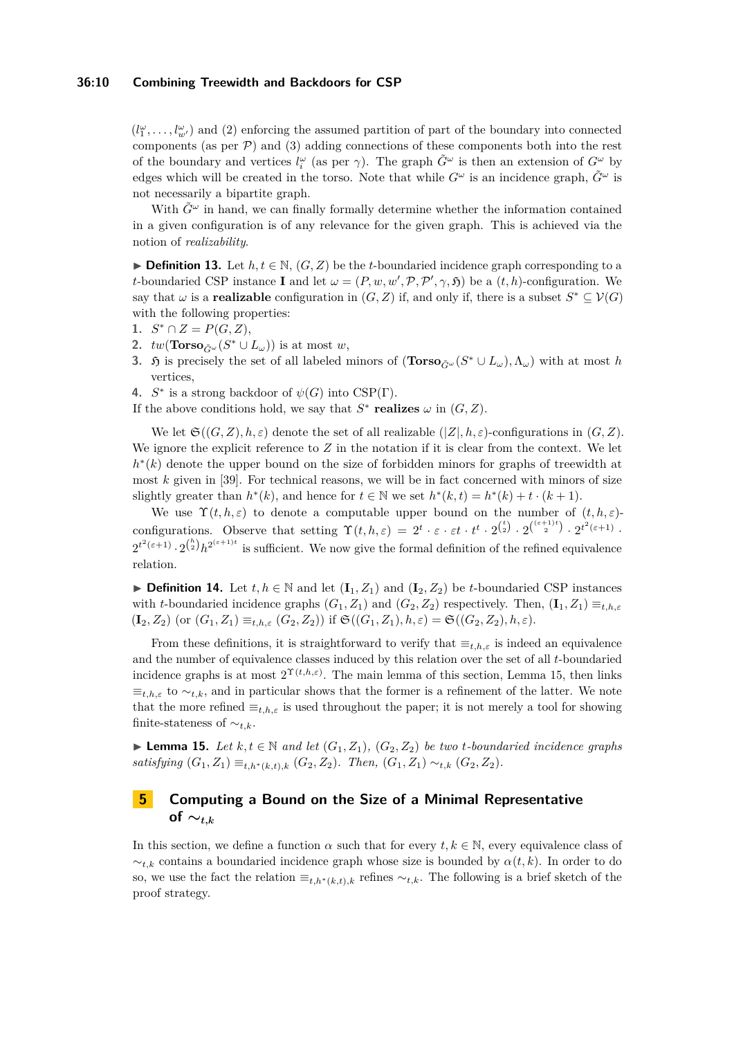### **36:10 Combining Treewidth and Backdoors for CSP**

 $(l_1^{\omega}, \ldots, l_{w'}^{\omega})$  and (2) enforcing the assumed partition of part of the boundary into connected components (as per  $\mathcal{P}$ ) and (3) adding connections of these components both into the rest of the boundary and vertices  $l_i^{\omega}$  (as per  $\gamma$ ). The graph  $\tilde{G}^{\omega}$  is then an extension of  $G^{\omega}$  by edges which will be created in the torso. Note that while  $G^{\omega}$  is an incidence graph,  $\tilde{G}^{\omega}$  is not necessarily a bipartite graph.

With  $\tilde{G}^{\omega}$  in hand, we can finally formally determine whether the information contained in a given configuration is of any relevance for the given graph. This is achieved via the notion of *realizability*.

**► Definition 13.** Let  $h, t \in \mathbb{N}$ ,  $(G, Z)$  be the *t*-boundaried incidence graph corresponding to a *t*-boundaried CSP instance **I** and let  $\omega = (P, w, w', P, P', \gamma, \mathfrak{H})$  be a  $(t, h)$ -configuration. We say that  $\omega$  is a **realizable** configuration in  $(G, Z)$  if, and only if, there is a subset  $S^* \subseteq V(G)$ with the following properties:

- 1.  $S^* \cap Z = P(G, Z),$
- **2.**  $tw(\textbf{Torso}_{\tilde{G}^{\omega}}(S^* \cup L_{\omega}))$  is at most *w*,
- **3.**  $\mathfrak{H}$  is precisely the set of all labeled minors of  $(\textbf{Torso}_{\tilde{G}^{\omega}}(S^* \cup L_{\omega}), \Lambda_{\omega})$  with at most *h* vertices,
- **4.**  $S^*$  is a strong backdoor of  $\psi(G)$  into CSP(Γ).

If the above conditions hold, we say that  $S^*$  **realizes**  $\omega$  in  $(G, Z)$ .

We let  $\mathfrak{S}((G, Z), h, \varepsilon)$  denote the set of all realizable  $(|Z|, h, \varepsilon)$ -configurations in  $(G, Z)$ . We ignore the explicit reference to *Z* in the notation if it is clear from the context. We let *h*<sup>\*</sup>(*k*) denote the upper bound on the size of forbidden minors for graphs of treewidth at most *k* given in [\[39\]](#page-15-18). For technical reasons, we will be in fact concerned with minors of size slightly greater than  $h^*(k)$ , and hence for  $t \in \mathbb{N}$  we set  $h^*(k,t) = h^*(k) + t \cdot (k+1)$ .

We use  $\Upsilon(t, h, \varepsilon)$  to denote a computable upper bound on the number of  $(t, h, \varepsilon)$ configurations. Observe that setting  $\Upsilon(t, h, \varepsilon) = 2^t \cdot \varepsilon \cdot \varepsilon t \cdot t^t \cdot 2^{\binom{t}{2}} \cdot 2^{\binom{(\varepsilon+1)t}{2}} \cdot 2^{t^2(\varepsilon+1)}$ .  $2^{t^2(\epsilon+1)} \cdot 2^{k \choose 2} h^{2^{(\epsilon+1)t}}$  is sufficient. We now give the formal definition of the refined equivalence relation.

**► Definition 14.** Let  $t, h \in \mathbb{N}$  and let  $(\mathbf{I}_1, Z_1)$  and  $(\mathbf{I}_2, Z_2)$  be *t*-boundaried CSP instances with *t*-boundaried incidence graphs  $(G_1, Z_1)$  and  $(G_2, Z_2)$  respectively. Then,  $(\mathbf{I}_1, Z_1) \equiv_{t,h,\varepsilon}$  $({\bf I}_2, Z_2)$  (or  $(G_1, Z_1) \equiv_{t,h,\varepsilon} (G_2, Z_2)$ ) if  $\mathfrak{S}((G_1, Z_1), h, \varepsilon) = \mathfrak{S}((G_2, Z_2), h, \varepsilon)$ .

From these definitions, it is straightforward to verify that  $\equiv_{t,h,\varepsilon}$  is indeed an equivalence and the number of equivalence classes induced by this relation over the set of all *t*-boundaried incidence graphs is at most  $2^{\Upsilon(t,h,\varepsilon)}$ . The main lemma of this section, Lemma [15,](#page-9-1) then links  $\equiv_{t,h,\varepsilon}$  to  $\sim_{t,k}$ , and in particular shows that the former is a refinement of the latter. We note that the more refined  $\equiv_{t,h,\varepsilon}$  is used throughout the paper; it is not merely a tool for showing finite-stateness of ∼*t,k*.

<span id="page-9-1"></span>► **Lemma 15.** *Let*  $k, t \in \mathbb{N}$  *and let*  $(G_1, Z_1)$ *,*  $(G_2, Z_2)$  *be two t-boundaried incidence graphs satisfying*  $(G_1, Z_1) \equiv_{t,h^*(k,t),k} (G_2, Z_2)$ *. Then,*  $(G_1, Z_1) \sim_{t,k} (G_2, Z_2)$ *.* 

# <span id="page-9-0"></span>**5 Computing a Bound on the Size of a Minimal Representative of**  $∼$ <sup>t,k</sup>

In this section, we define a function  $\alpha$  such that for every  $t, k \in \mathbb{N}$ , every equivalence class of ∼*t,k* contains a boundaried incidence graph whose size is bounded by *α*(*t, k*). In order to do so, we use the fact the relation  $\equiv_{t,h^*(k,t),k}$  refines  $\sim_{t,k}$ . The following is a brief sketch of the proof strategy.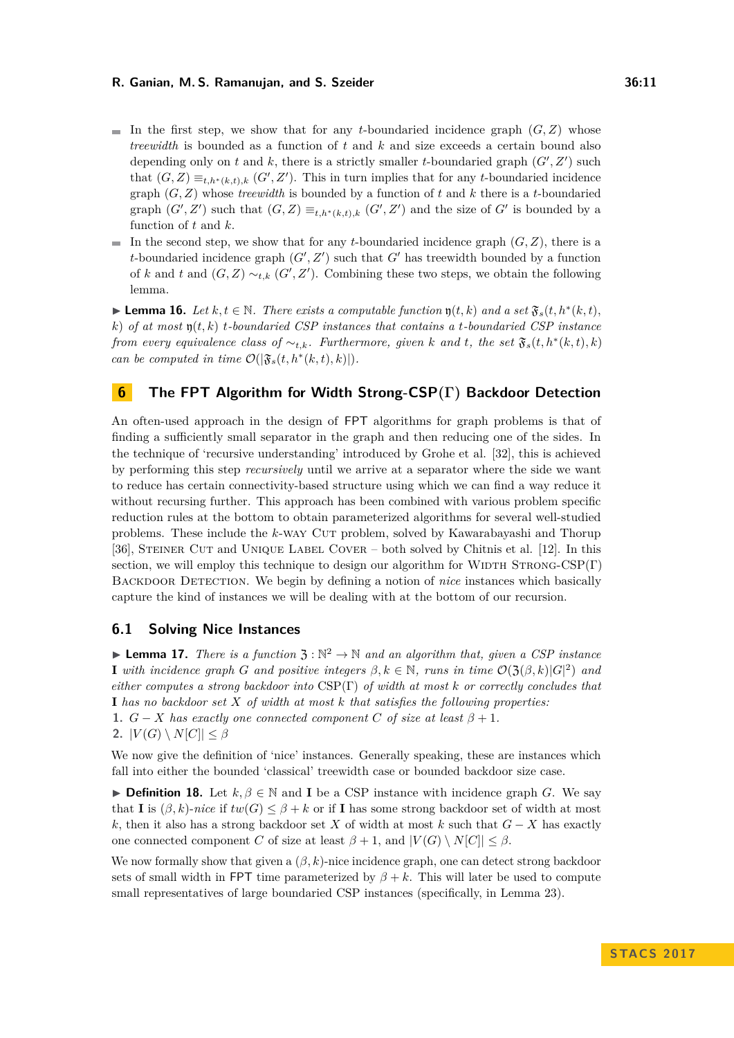- In the first step, we show that for any *t*-boundaried incidence graph  $(G, Z)$  whose *treewidth* is bounded as a function of *t* and *k* and size exceeds a certain bound also depending only on  $t$  and  $k$ , there is a strictly smaller  $t$ -boundaried graph  $(G', Z')$  such that  $(G, Z) \equiv_{t,h^*(k,t),k} (G', Z')$ . This in turn implies that for any *t*-boundaried incidence graph (*G, Z*) whose *treewidth* is bounded by a function of *t* and *k* there is a *t*-boundaried graph  $(G', Z')$  such that  $(G, Z) \equiv_{t,h^*(k,t),k} (G', Z')$  and the size of  $G'$  is bounded by a function of *t* and *k*.
- In the second step, we show that for any *t*-boundaried incidence graph  $(G, Z)$ , there is a  $\sim$ *t*-boundaried incidence graph  $(G', Z')$  such that  $G'$  has treewidth bounded by a function of *k* and *t* and  $(G, Z) \sim_{t,k} (G', Z')$ . Combining these two steps, we obtain the following lemma.

<span id="page-10-2"></span>► **Lemma 16.** *Let*  $k, t \in \mathbb{N}$ *. There exists a computable function*  $\mathfrak{y}(t, k)$  *and a set*  $\mathfrak{F}_s(t, h^*(k, t))$ *, k*) *of at most* y(*t, k*) *t-boundaried CSP instances that contains a t-boundaried CSP instance from every equivalence class of*  $\sim_{t,k}$ *. Furthermore, given k and t, the set*  $\mathfrak{F}_s(t, h^*(k,t), k)$ *can be computed in time*  $\mathcal{O}(|\mathfrak{F}_s(t, h^*(k,t), k)|)$ *.* 

### <span id="page-10-0"></span>**6 The FPT Algorithm for Width Strong-CSP(Γ) Backdoor Detection**

An often-used approach in the design of FPT algorithms for graph problems is that of finding a sufficiently small separator in the graph and then reducing one of the sides. In the technique of 'recursive understanding' introduced by Grohe et al. [\[32\]](#page-15-9), this is achieved by performing this step *recursively* until we arrive at a separator where the side we want to reduce has certain connectivity-based structure using which we can find a way reduce it without recursing further. This approach has been combined with various problem specific reduction rules at the bottom to obtain parameterized algorithms for several well-studied problems. These include the *k*-way Cut problem, solved by Kawarabayashi and Thorup [\[36\]](#page-15-10), Steiner Cut and Unique Label Cover – both solved by Chitnis et al. [\[12\]](#page-13-10). In this section, we will employ this technique to design our algorithm for WIDTH STRONG-CSP $(\Gamma)$ BACKDOOR DETECTION. We begin by defining a notion of *nice* instances which basically capture the kind of instances we will be dealing with at the bottom of our recursion.

### **6.1 Solving Nice Instances**

<span id="page-10-1"></span>**Lemma 17.** *There is a function*  $\mathfrak{Z} : \mathbb{N}^2 \to \mathbb{N}$  *and an algorithm that, given a CSP instance* **I** with incidence graph *G* and positive integers  $\beta, k \in \mathbb{N}$ , runs in time  $\mathcal{O}(\mathfrak{Z}(\beta, k)|G|^2)$  and *either computes a strong backdoor into* CSP(Γ) *of width at most k or correctly concludes that* **I** *has no backdoor set X of width at most k that satisfies the following properties:* **1.**  $G - X$  has exactly one connected component C of size at least  $\beta + 1$ . 2.  $|V(G) \setminus N[C]| \leq \beta$ 

We now give the definition of 'nice' instances. Generally speaking, these are instances which fall into either the bounded 'classical' treewidth case or bounded backdoor size case.

**► Definition 18.** Let  $k, \beta \in \mathbb{N}$  and **I** be a CSP instance with incidence graph *G*. We say that **I** is  $(\beta, k)$ -nice if  $tw(G) \leq \beta + k$  or if **I** has some strong backdoor set of width at most *k*, then it also has a strong backdoor set *X* of width at most *k* such that  $G - X$  has exactly one connected component *C* of size at least  $\beta + 1$ , and  $|V(G) \setminus N[C]| \leq \beta$ .

We now formally show that given a  $(\beta, k)$ -nice incidence graph, one can detect strong backdoor sets of small width in FPT time parameterized by  $\beta + k$ . This will later be used to compute small representatives of large boundaried CSP instances (specifically, in Lemma [23\)](#page-11-0).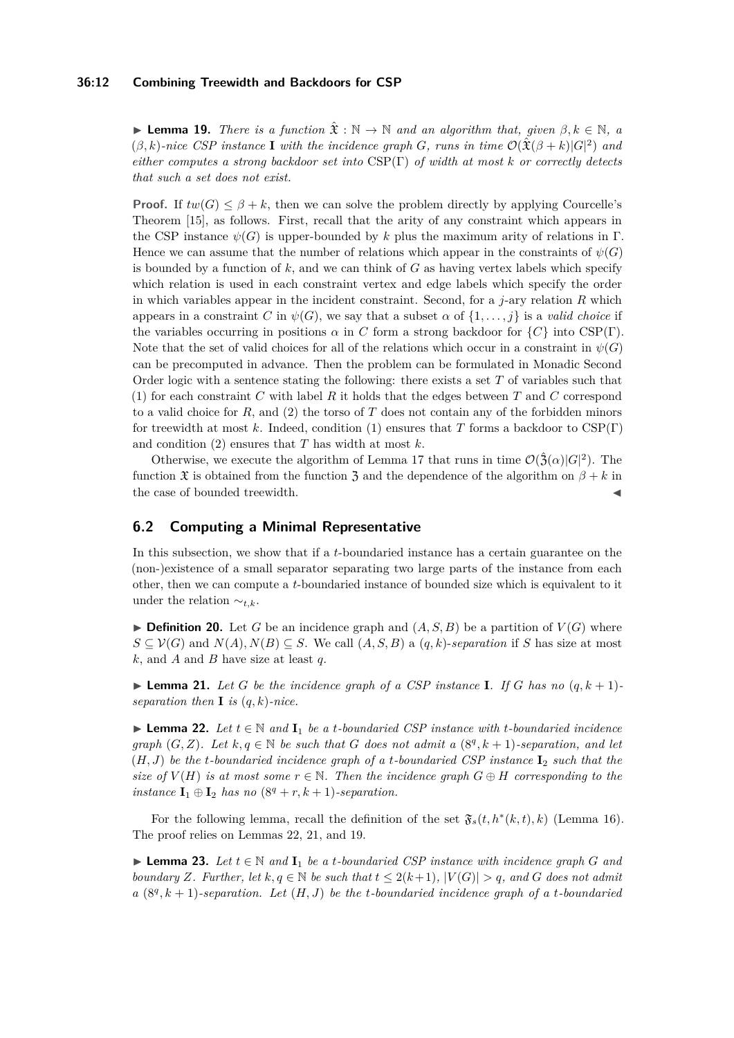### **36:12 Combining Treewidth and Backdoors for CSP**

<span id="page-11-3"></span>**► Lemma 19.** *There is a function*  $\hat{\mathfrak{X}}$  :  $\mathbb{N} \to \mathbb{N}$  *and an algorithm that, given*  $\beta, k \in \mathbb{N}$ , a  $(\beta, k)$ -nice CSP instance **I** with the incidence graph *G*, runs in time  $\mathcal{O}(\hat{\mathfrak{X}}(\beta + k)|G|^2)$  and *either computes a strong backdoor set into* CSP(Γ) *of width at most k or correctly detects that such a set does not exist.*

**Proof.** If  $tw(G) \leq \beta + k$ , then we can solve the problem directly by applying Courcelle's Theorem [\[15\]](#page-14-14), as follows. First, recall that the arity of any constraint which appears in the CSP instance  $\psi(G)$  is upper-bounded by *k* plus the maximum arity of relations in Γ. Hence we can assume that the number of relations which appear in the constraints of  $\psi(G)$ is bounded by a function of  $k$ , and we can think of  $G$  as having vertex labels which specify which relation is used in each constraint vertex and edge labels which specify the order in which variables appear in the incident constraint. Second, for a *j*-ary relation *R* which appears in a constraint *C* in  $\psi(G)$ , we say that a subset  $\alpha$  of  $\{1, \ldots, j\}$  is a *valid choice* if the variables occurring in positions  $\alpha$  in *C* form a strong backdoor for  $\{C\}$  into CSP(Γ). Note that the set of valid choices for all of the relations which occur in a constraint in  $\psi(G)$ can be precomputed in advance. Then the problem can be formulated in Monadic Second Order logic with a sentence stating the following: there exists a set *T* of variables such that (1) for each constraint *C* with label *R* it holds that the edges between *T* and *C* correspond to a valid choice for  $R$ , and  $(2)$  the torso of  $T$  does not contain any of the forbidden minors for treewidth at most *k*. Indeed, condition (1) ensures that *T* forms a backdoor to CSP(Γ) and condition (2) ensures that *T* has width at most *k*.

Otherwise, we execute the algorithm of Lemma [17](#page-10-1) that runs in time  $\mathcal{O}(\hat{\mathfrak{Z}}(\alpha)|G|^2)$ . The function  $\mathfrak X$  is obtained from the function  $\mathfrak Z$  and the dependence of the algorithm on  $\beta + k$  in the case of bounded treewidth.  $\blacksquare$ 

### **6.2 Computing a Minimal Representative**

In this subsection, we show that if a *t*-boundaried instance has a certain guarantee on the (non-)existence of a small separator separating two large parts of the instance from each other, then we can compute a *t*-boundaried instance of bounded size which is equivalent to it under the relation ∼*t,k*.

 $\blacktriangleright$  **Definition 20.** Let *G* be an incidence graph and  $(A, S, B)$  be a partition of  $V(G)$  where *S* ⊆  $V(G)$  and  $N(A)$ ,  $N(B)$  ⊆ *S*. We call  $(A, S, B)$  a  $(q, k)$ -*separation* if *S* has size at most *k*, and *A* and *B* have size at least *q*.

<span id="page-11-2"></span>**Example 21.** Let G be the incidence graph of a CSP instance **I**. If G has no  $(q, k + 1)$ *separation then* **I** *is* (*q, k*)*-nice.*

<span id="page-11-1"></span>**► Lemma 22.** Let  $t \in \mathbb{N}$  and  $\mathbf{I}_1$  be a *t*-boundaried CSP instance with *t*-boundaried incidence *graph*  $(G, Z)$ *. Let*  $k, q \in \mathbb{N}$  *be such that G does not admit a*  $(8^q, k+1)$ *-separation, and let* (*H, J*) *be the t-boundaried incidence graph of a t-boundaried CSP instance* **I**<sup>2</sup> *such that the size of*  $V(H)$  *is at most some*  $r \in \mathbb{N}$ *. Then the incidence graph*  $G \oplus H$  *corresponding to the instance*  $I_1 \oplus I_2$  *has no*  $(8^q + r, k + 1)$ *-separation.* 

For the following lemma, recall the definition of the set  $\mathfrak{F}_s(t, h^*(k,t), k)$  (Lemma [16\)](#page-10-2). The proof relies on Lemmas [22,](#page-11-1) [21,](#page-11-2) and [19.](#page-11-3)

<span id="page-11-0"></span>**► Lemma 23.** Let  $t \in \mathbb{N}$  and  $\mathbf{I}_1$  be a *t*-boundaried CSP instance with incidence graph G and *boundary Z. Further, let*  $k, q \in \mathbb{N}$  *be such that*  $t \leq 2(k+1)$ *,*  $|V(G)| > q$ *, and G does not admit a*  $(8^q, k+1)$ *-separation. Let*  $(H, J)$  *be the t-boundaried incidence graph of a t-boundaried*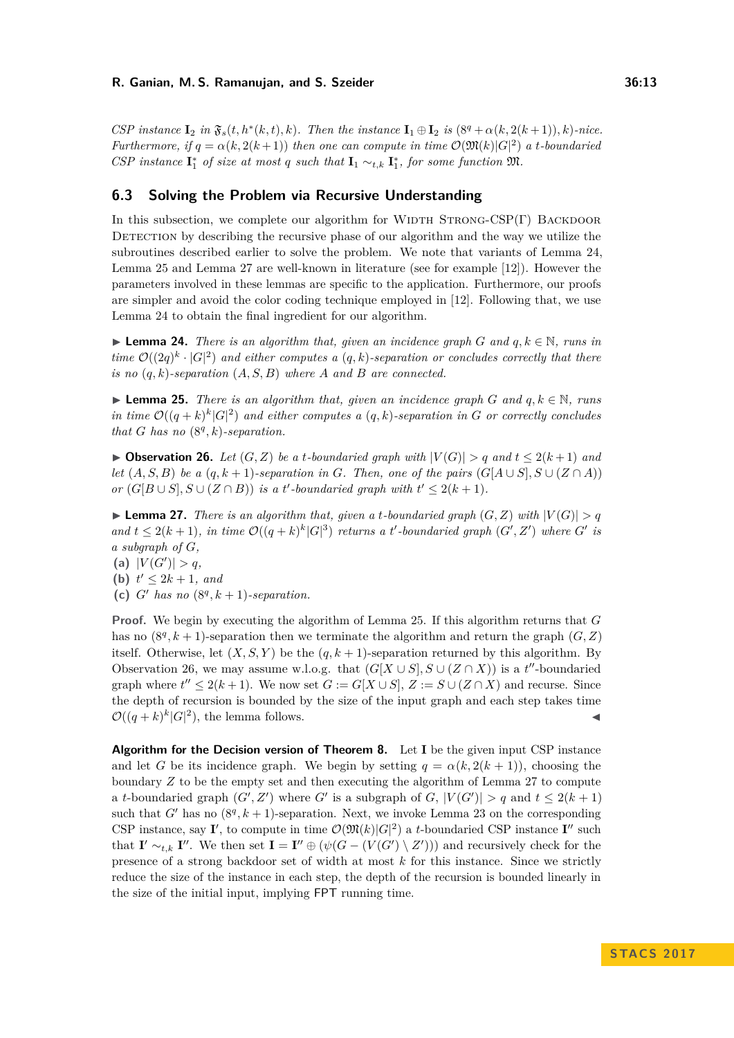*CSP* instance  $\mathbf{I}_2$  in  $\mathfrak{F}_s(t, h^*(k, t), k)$ . Then the instance  $\mathbf{I}_1 \oplus \mathbf{I}_2$  is  $(8^q + \alpha(k, 2(k+1)), k)$ *-nice. Furthermore, if*  $q = \alpha(k, 2(k+1))$  *then one can compute in time*  $\mathcal{O}(\mathfrak{M}(k)|G|^2)$  *a t-boundaried CSP* instance  $\mathbf{I}_1^*$  of size at most *q* such that  $\mathbf{I}_1 \sim_{t,k} \mathbf{I}_1^*$ , for some function  $\mathfrak{M}$ .

### **6.3 Solving the Problem via Recursive Understanding**

In this subsection, we complete our algorithm for WIDTH STRONG-CSP(Γ) BACKDOOR DETECTION by describing the recursive phase of our algorithm and the way we utilize the subroutines described earlier to solve the problem. We note that variants of Lemma [24,](#page-12-0) Lemma [25](#page-12-1) and Lemma [27](#page-12-2) are well-known in literature (see for example [\[12\]](#page-13-10)). However the parameters involved in these lemmas are specific to the application. Furthermore, our proofs are simpler and avoid the color coding technique employed in [\[12\]](#page-13-10). Following that, we use Lemma [24](#page-12-0) to obtain the final ingredient for our algorithm.

<span id="page-12-0"></span>**► Lemma 24.** *There is an algorithm that, given an incidence graph*  $G$  *and*  $q, k \in \mathbb{N}$ *, runs in time*  $\mathcal{O}((2q)^k \cdot |G|^2)$  and either computes a  $(q, k)$ -separation or concludes correctly that there *is no* (*q, k*)*-separation* (*A, S, B*) *where A and B are connected.*

<span id="page-12-1"></span>**► Lemma 25.** *There is an algorithm that, given an incidence graph*  $G$  *and*  $q, k \in \mathbb{N}$ *, runs in time*  $\mathcal{O}((q+k)^k |G|^2)$  *and either computes a*  $(q, k)$ -separation *in G or correctly concludes that G has no*  $(8<sup>q</sup>, k)$ *-separation.* 

<span id="page-12-3"></span>▶ Observation 26. Let  $(G, Z)$  be a *t*-boundaried graph with  $|V(G)| > q$  and  $t ≤ 2(k+1)$  and *let*  $(A, S, B)$  *be a*  $(q, k+1)$ *-separation in G. Then, one of the pairs*  $(G[A \cup S], S \cup (Z \cap A))$ *or*  $(G[B \cup S], S \cup (Z \cap B))$  *is a t*'-boundaried graph with  $t' \leq 2(k+1)$ *.* 

<span id="page-12-2"></span> $\blacktriangleright$  **Lemma 27.** *There is an algorithm that, given a t-boundaried graph*  $(G, Z)$  *with*  $|V(G)| > q$ *and*  $t \leq 2(k+1)$ , in time  $\mathcal{O}((q+k)^k |G|^3)$  returns a *t*'-boundaried graph  $(G', Z')$  where  $G'$  is *a subgraph of G,*

(a)  $|V(G')| > q$ ,

**(b)**  $t' \leq 2k + 1$ *, and* 

(c)  $G'$  has no  $(8^q, k+1)$ *-separation.* 

**Proof.** We begin by executing the algorithm of Lemma [25.](#page-12-1) If this algorithm returns that *G* has no  $(8^q, k+1)$ -separation then we terminate the algorithm and return the graph  $(G, Z)$ itself. Otherwise, let  $(X, S, Y)$  be the  $(q, k + 1)$ -separation returned by this algorithm. By Observation [26,](#page-12-3) we may assume w.l.o.g. that  $(G[X \cup S], S \cup (Z \cap X))$  is a *t*<sup>"</sup>-boundaried graph where  $t'' \leq 2(k+1)$ . We now set  $G := G[X \cup S], Z := S \cup (Z \cap X)$  and recurse. Since the depth of recursion is bounded by the size of the input graph and each step takes time  $\mathcal{O}((q+k)^k|G|^2)$ , the lemma follows.

**Algorithm for the Decision version of Theorem [8.](#page-7-0)** Let **I** be the given input CSP instance and let *G* be its incidence graph. We begin by setting  $q = \alpha(k, 2(k + 1))$ , choosing the boundary *Z* to be the empty set and then executing the algorithm of Lemma [27](#page-12-2) to compute a *t*-boundaried graph  $(G', Z')$  where  $G'$  is a subgraph of  $G$ ,  $|V(G')| > q$  and  $t \leq 2(k + 1)$ such that  $G'$  has no  $(8^q, k+1)$ -separation. Next, we invoke Lemma [23](#page-11-0) on the corresponding CSP instance, say **I'**, to compute in time  $\mathcal{O}(\mathfrak{M}(k)|G|^2)$  a *t*-boundaried CSP instance **I''** such that **I**' ∼*t*,*k* **I''**. We then set **I** = **I'**'  $\oplus$  ( $\psi(G - (V(G') \setminus Z'))$ ) and recursively check for the presence of a strong backdoor set of width at most *k* for this instance. Since we strictly reduce the size of the instance in each step, the depth of the recursion is bounded linearly in the size of the initial input, implying FPT running time.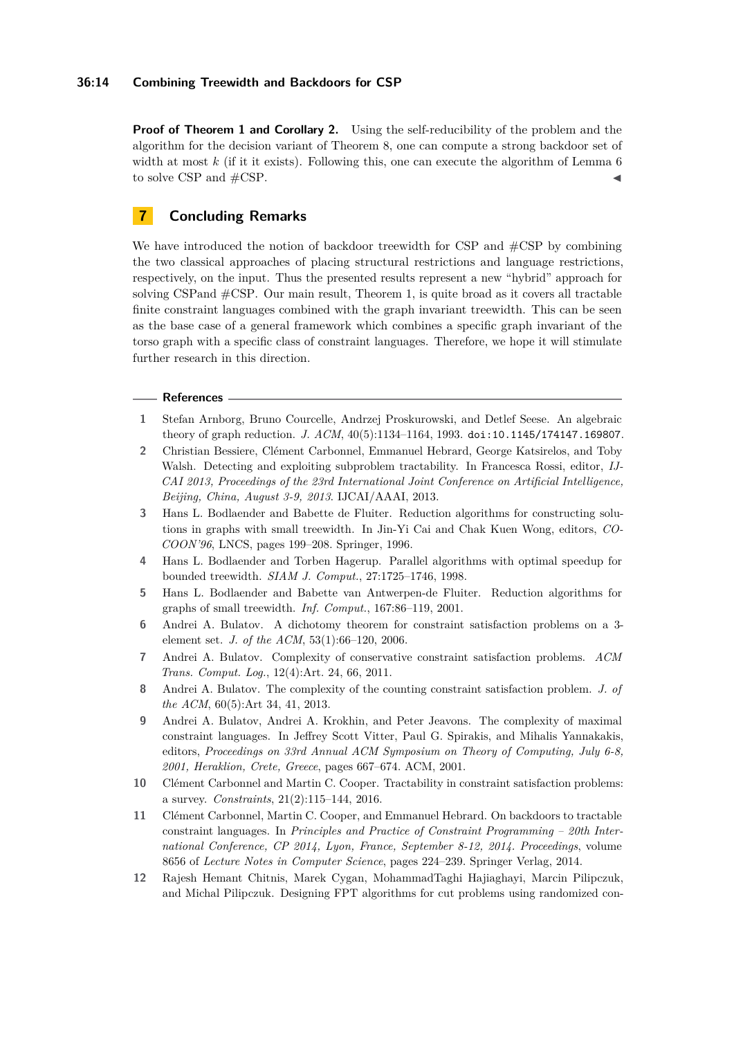### **36:14 Combining Treewidth and Backdoors for CSP**

**Proof of Theorem [1](#page-2-0) and Corollary [2.](#page-2-1)** Using the self-reducibility of the problem and the algorithm for the decision variant of Theorem [8,](#page-7-0) one can compute a strong backdoor set of width at most *k* (if it it exists). Following this, one can execute the algorithm of Lemma [6](#page-6-1) to solve CSP and  $\#\text{CSP}$ .

# **7 Concluding Remarks**

We have introduced the notion of backdoor treewidth for CSP and  $\#CSP$  by combining the two classical approaches of placing structural restrictions and language restrictions, respectively, on the input. Thus the presented results represent a new "hybrid" approach for solving CSPand #CSP. Our main result, Theorem [1,](#page-2-0) is quite broad as it covers all tractable finite constraint languages combined with the graph invariant treewidth. This can be seen as the base case of a general framework which combines a specific graph invariant of the torso graph with a specific class of constraint languages. Therefore, we hope it will stimulate further research in this direction.

### **References**

- <span id="page-13-6"></span>**1** Stefan Arnborg, Bruno Courcelle, Andrzej Proskurowski, and Detlef Seese. An algebraic theory of graph reduction. *J. ACM*, 40(5):1134–1164, 1993. [doi:10.1145/174147.169807](http://dx.doi.org/10.1145/174147.169807).
- <span id="page-13-11"></span>**2** Christian Bessiere, Clément Carbonnel, Emmanuel Hebrard, George Katsirelos, and Toby Walsh. Detecting and exploiting subproblem tractability. In Francesca Rossi, editor, *IJ-CAI 2013, Proceedings of the 23rd International Joint Conference on Artificial Intelligence, Beijing, China, August 3-9, 2013*. IJCAI/AAAI, 2013.
- <span id="page-13-7"></span>**3** Hans L. Bodlaender and Babette de Fluiter. Reduction algorithms for constructing solutions in graphs with small treewidth. In Jin-Yi Cai and Chak Kuen Wong, editors, *CO-COON'96*, LNCS, pages 199–208. Springer, 1996.
- <span id="page-13-9"></span>**4** Hans L. Bodlaender and Torben Hagerup. Parallel algorithms with optimal speedup for bounded treewidth. *SIAM J. Comput.*, 27:1725–1746, 1998.
- <span id="page-13-8"></span>**5** Hans L. Bodlaender and Babette van Antwerpen-de Fluiter. Reduction algorithms for graphs of small treewidth. *Inf. Comput.*, 167:86–119, 2001.
- <span id="page-13-1"></span>**6** Andrei A. Bulatov. A dichotomy theorem for constraint satisfaction problems on a 3 element set. *J. of the ACM*, 53(1):66–120, 2006.
- <span id="page-13-2"></span>**7** Andrei A. Bulatov. Complexity of conservative constraint satisfaction problems. *ACM Trans. Comput. Log.*, 12(4):Art. 24, 66, 2011.
- <span id="page-13-5"></span>**8** Andrei A. Bulatov. The complexity of the counting constraint satisfaction problem. *J. of the ACM*, 60(5):Art 34, 41, 2013.
- <span id="page-13-3"></span>**9** Andrei A. Bulatov, Andrei A. Krokhin, and Peter Jeavons. The complexity of maximal constraint languages. In Jeffrey Scott Vitter, Paul G. Spirakis, and Mihalis Yannakakis, editors, *Proceedings on 33rd Annual ACM Symposium on Theory of Computing, July 6-8, 2001, Heraklion, Crete, Greece*, pages 667–674. ACM, 2001.
- <span id="page-13-0"></span>**10** Clément Carbonnel and Martin C. Cooper. Tractability in constraint satisfaction problems: a survey. *Constraints*, 21(2):115–144, 2016.
- <span id="page-13-4"></span>**11** Clément Carbonnel, Martin C. Cooper, and Emmanuel Hebrard. On backdoors to tractable constraint languages. In *Principles and Practice of Constraint Programming – 20th International Conference, CP 2014, Lyon, France, September 8-12, 2014. Proceedings*, volume 8656 of *Lecture Notes in Computer Science*, pages 224–239. Springer Verlag, 2014.
- <span id="page-13-10"></span>**12** Rajesh Hemant Chitnis, Marek Cygan, MohammadTaghi Hajiaghayi, Marcin Pilipczuk, and Michal Pilipczuk. Designing FPT algorithms for cut problems using randomized con-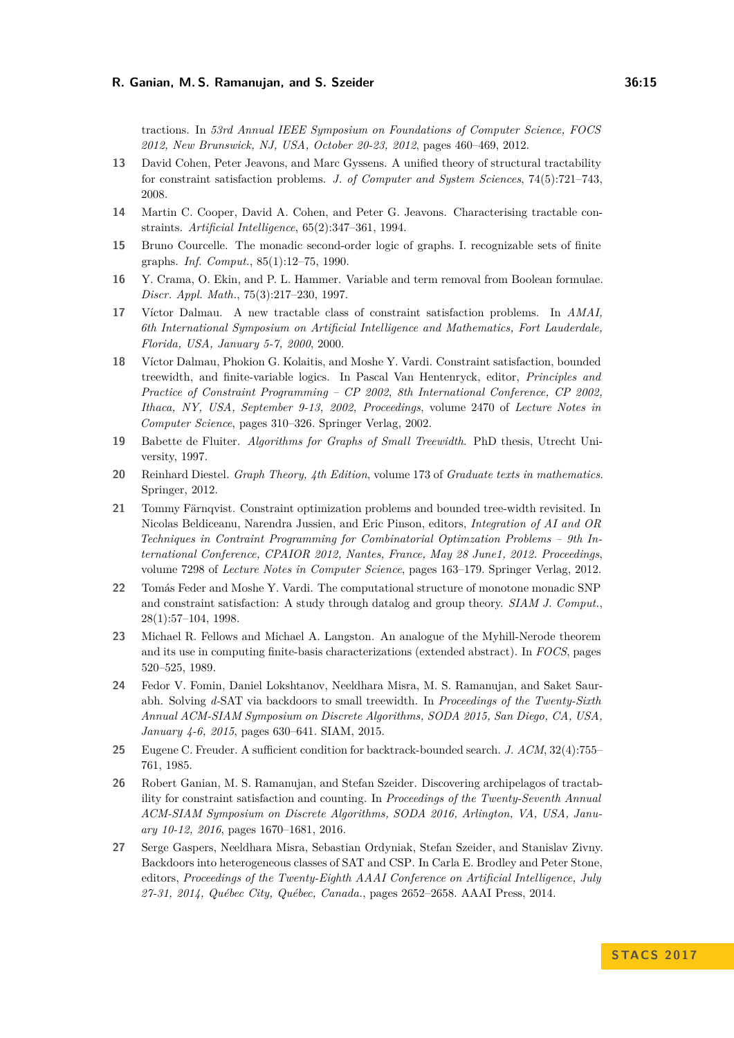tractions. In *53rd Annual IEEE Symposium on Foundations of Computer Science, FOCS 2012, New Brunswick, NJ, USA, October 20-23, 2012*, pages 460–469, 2012.

- <span id="page-14-2"></span>**13** David Cohen, Peter Jeavons, and Marc Gyssens. A unified theory of structural tractability for constraint satisfaction problems. *J. of Computer and System Sciences*, 74(5):721–743, 2008.
- <span id="page-14-4"></span>**14** Martin C. Cooper, David A. Cohen, and Peter G. Jeavons. Characterising tractable constraints. *Artificial Intelligence*, 65(2):347–361, 1994.
- <span id="page-14-14"></span>**15** Bruno Courcelle. The monadic second-order logic of graphs. I. recognizable sets of finite graphs. *Inf. Comput.*, 85(1):12–75, 1990.
- <span id="page-14-11"></span>**16** Y. Crama, O. Ekin, and P. L. Hammer. Variable and term removal from Boolean formulae. *Discr. Appl. Math.*, 75(3):217–230, 1997.
- <span id="page-14-5"></span>**17** Víctor Dalmau. A new tractable class of constraint satisfaction problems. In *AMAI, 6th International Symposium on Artificial Intelligence and Mathematics, Fort Lauderdale, Florida, USA, January 5-7, 2000*, 2000.
- <span id="page-14-3"></span>**18** Víctor Dalmau, Phokion G. Kolaitis, and Moshe Y. Vardi. Constraint satisfaction, bounded treewidth, and finite-variable logics. In Pascal Van Hentenryck, editor, *Principles and Practice of Constraint Programming – CP 2002, 8th International Conference, CP 2002, Ithaca, NY, USA, September 9-13, 2002, Proceedings*, volume 2470 of *Lecture Notes in Computer Science*, pages 310–326. Springer Verlag, 2002.
- <span id="page-14-10"></span>**19** Babette de Fluiter. *Algorithms for Graphs of Small Treewidth*. PhD thesis, Utrecht University, 1997.
- <span id="page-14-13"></span>**20** Reinhard Diestel. *Graph Theory, 4th Edition*, volume 173 of *Graduate texts in mathematics*. Springer, 2012.
- <span id="page-14-8"></span>**21** Tommy Färnqvist. Constraint optimization problems and bounded tree-width revisited. In Nicolas Beldiceanu, Narendra Jussien, and Eric Pinson, editors, *Integration of AI and OR Techniques in Contraint Programming for Combinatorial Optimzation Problems – 9th International Conference, CPAIOR 2012, Nantes, France, May 28 June1, 2012. Proceedings*, volume 7298 of *Lecture Notes in Computer Science*, pages 163–179. Springer Verlag, 2012.
- <span id="page-14-0"></span>**22** Tomás Feder and Moshe Y. Vardi. The computational structure of monotone monadic SNP and constraint satisfaction: A study through datalog and group theory. *SIAM J. Comput.*, 28(1):57–104, 1998.
- <span id="page-14-9"></span>**23** Michael R. Fellows and Michael A. Langston. An analogue of the Myhill-Nerode theorem and its use in computing finite-basis characterizations (extended abstract). In *FOCS*, pages 520–525, 1989.
- <span id="page-14-12"></span>**24** Fedor V. Fomin, Daniel Lokshtanov, Neeldhara Misra, M. S. Ramanujan, and Saket Saurabh. Solving *d-*SAT via backdoors to small treewidth. In *Proceedings of the Twenty-Sixth Annual ACM-SIAM Symposium on Discrete Algorithms, SODA 2015, San Diego, CA, USA, January 4-6, 2015*, pages 630–641. SIAM, 2015.
- <span id="page-14-1"></span>**25** Eugene C. Freuder. A sufficient condition for backtrack-bounded search. *J. ACM*, 32(4):755– 761, 1985.
- <span id="page-14-6"></span>**26** Robert Ganian, M. S. Ramanujan, and Stefan Szeider. Discovering archipelagos of tractability for constraint satisfaction and counting. In *Proceedings of the Twenty-Seventh Annual ACM-SIAM Symposium on Discrete Algorithms, SODA 2016, Arlington, VA, USA, January 10-12, 2016*, pages 1670–1681, 2016.
- <span id="page-14-7"></span>**27** Serge Gaspers, Neeldhara Misra, Sebastian Ordyniak, Stefan Szeider, and Stanislav Zivny. Backdoors into heterogeneous classes of SAT and CSP. In Carla E. Brodley and Peter Stone, editors, *Proceedings of the Twenty-Eighth AAAI Conference on Artificial Intelligence, July 27-31, 2014, Québec City, Québec, Canada.*, pages 2652–2658. AAAI Press, 2014.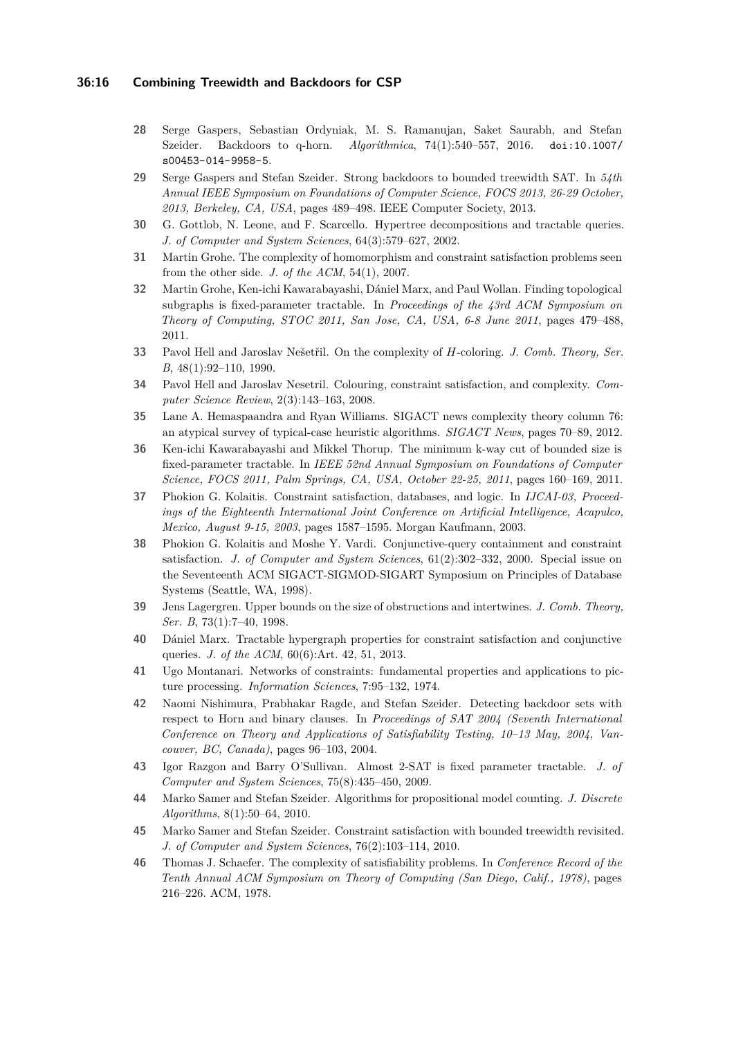### **36:16 Combining Treewidth and Backdoors for CSP**

- <span id="page-15-14"></span>**28** Serge Gaspers, Sebastian Ordyniak, M. S. Ramanujan, Saket Saurabh, and Stefan Szeider. Backdoors to q-horn. *Algorithmica*, 74(1):540–557, 2016. [doi:10.1007/](http://dx.doi.org/10.1007/s00453-014-9958-5) [s00453-014-9958-5](http://dx.doi.org/10.1007/s00453-014-9958-5).
- <span id="page-15-15"></span>**29** Serge Gaspers and Stefan Szeider. Strong backdoors to bounded treewidth SAT. In *54th Annual IEEE Symposium on Foundations of Computer Science, FOCS 2013, 26-29 October, 2013, Berkeley, CA, USA*, pages 489–498. IEEE Computer Society, 2013.
- <span id="page-15-3"></span>**30** G. Gottlob, N. Leone, and F. Scarcello. Hypertree decompositions and tractable queries. *J. of Computer and System Sciences*, 64(3):579–627, 2002.
- <span id="page-15-4"></span>**31** Martin Grohe. The complexity of homomorphism and constraint satisfaction problems seen from the other side. *J. of the ACM*, 54(1), 2007.
- <span id="page-15-9"></span>**32** Martin Grohe, Ken-ichi Kawarabayashi, Dániel Marx, and Paul Wollan. Finding topological subgraphs is fixed-parameter tractable. In *Proceedings of the 43rd ACM Symposium on Theory of Computing, STOC 2011, San Jose, CA, USA, 6-8 June 2011*, pages 479–488, 2011.
- <span id="page-15-8"></span>**33** Pavol Hell and Jaroslav Nešetřil. On the complexity of *H*-coloring. *J. Comb. Theory, Ser. B*, 48(1):92–110, 1990.
- <span id="page-15-0"></span>**34** Pavol Hell and Jaroslav Nesetril. Colouring, constraint satisfaction, and complexity. *Computer Science Review*, 2(3):143–163, 2008.
- <span id="page-15-11"></span>**35** Lane A. Hemaspaandra and Ryan Williams. SIGACT news complexity theory column 76: an atypical survey of typical-case heuristic algorithms. *SIGACT News*, pages 70–89, 2012.
- <span id="page-15-10"></span>**36** Ken-ichi Kawarabayashi and Mikkel Thorup. The minimum k-way cut of bounded size is fixed-parameter tractable. In *IEEE 52nd Annual Symposium on Foundations of Computer Science, FOCS 2011, Palm Springs, CA, USA, October 22-25, 2011*, pages 160–169, 2011.
- <span id="page-15-2"></span>**37** Phokion G. Kolaitis. Constraint satisfaction, databases, and logic. In *IJCAI-03, Proceedings of the Eighteenth International Joint Conference on Artificial Intelligence, Acapulco, Mexico, August 9-15, 2003*, pages 1587–1595. Morgan Kaufmann, 2003.
- <span id="page-15-17"></span>**38** Phokion G. Kolaitis and Moshe Y. Vardi. Conjunctive-query containment and constraint satisfaction. *J. of Computer and System Sciences*, 61(2):302–332, 2000. Special issue on the Seventeenth ACM SIGACT-SIGMOD-SIGART Symposium on Principles of Database Systems (Seattle, WA, 1998).
- <span id="page-15-18"></span>**39** Jens Lagergren. Upper bounds on the size of obstructions and intertwines. *J. Comb. Theory, Ser. B*, 73(1):7–40, 1998.
- <span id="page-15-5"></span>**40** Dániel Marx. Tractable hypergraph properties for constraint satisfaction and conjunctive queries. *J. of the ACM*, 60(6):Art. 42, 51, 2013.
- <span id="page-15-1"></span>**41** Ugo Montanari. Networks of constraints: fundamental properties and applications to picture processing. *Information Sciences*, 7:95–132, 1974.
- <span id="page-15-12"></span>**42** Naomi Nishimura, Prabhakar Ragde, and Stefan Szeider. Detecting backdoor sets with respect to Horn and binary clauses. In *Proceedings of SAT 2004 (Seventh International Conference on Theory and Applications of Satisfiability Testing, 10–13 May, 2004, Vancouver, BC, Canada)*, pages 96–103, 2004.
- <span id="page-15-13"></span>**43** Igor Razgon and Barry O'Sullivan. Almost 2-SAT is fixed parameter tractable. *J. of Computer and System Sciences*, 75(8):435–450, 2009.
- <span id="page-15-6"></span>**44** Marko Samer and Stefan Szeider. Algorithms for propositional model counting. *J. Discrete Algorithms*, 8(1):50–64, 2010.
- <span id="page-15-16"></span>**45** Marko Samer and Stefan Szeider. Constraint satisfaction with bounded treewidth revisited. *J. of Computer and System Sciences*, 76(2):103–114, 2010.
- <span id="page-15-7"></span>**46** Thomas J. Schaefer. The complexity of satisfiability problems. In *Conference Record of the Tenth Annual ACM Symposium on Theory of Computing (San Diego, Calif., 1978)*, pages 216–226. ACM, 1978.